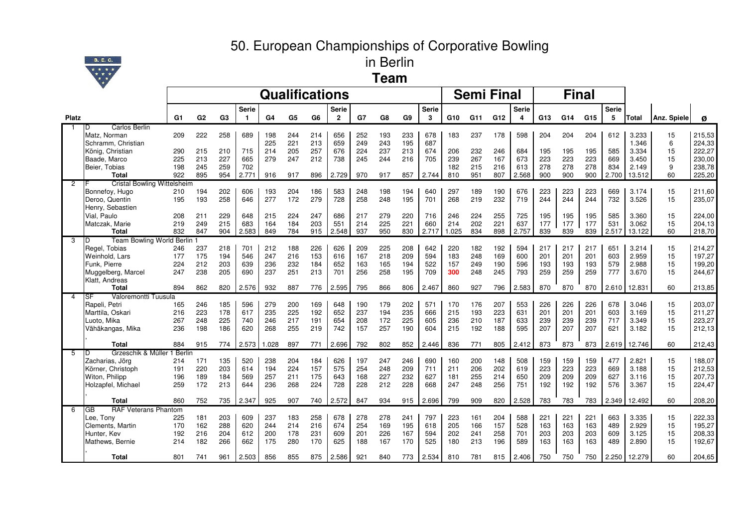## 50. European Championships of Corporative Bowling



in Berlin**Team**

|              |                                                   |            |                |                |              | <b>Qualifications</b> |     |     |                |            |            |                |              |       | <b>Semi Final</b> |                 |              |            |     | <b>Final</b> |              |              |             |        |
|--------------|---------------------------------------------------|------------|----------------|----------------|--------------|-----------------------|-----|-----|----------------|------------|------------|----------------|--------------|-------|-------------------|-----------------|--------------|------------|-----|--------------|--------------|--------------|-------------|--------|
|              |                                                   |            |                |                | <b>Serie</b> |                       |     |     | Serie          |            |            |                | <b>Serie</b> |       |                   |                 | <b>Serie</b> |            |     |              | <b>Serie</b> |              |             |        |
| <b>Platz</b> |                                                   | G1         | G <sub>2</sub> | G <sub>3</sub> | $\mathbf{1}$ | G <sub>4</sub>        | G5  | G6  | $\overline{2}$ | G7         | G8         | G <sub>9</sub> | 3            | G10   | G11               | G <sub>12</sub> | 4            | G13        | G14 | G15          | 5            | <b>Total</b> | Anz. Spiele | Ø      |
| $\mathbf{1}$ | Carlos Berlin<br>D                                |            |                |                |              |                       |     |     |                |            |            |                |              |       |                   |                 |              |            |     |              |              |              |             |        |
|              | Matz, Norman                                      | 209        | 222            | 258            | 689          | 198                   | 244 | 214 | 656            | 252        | 193        | 233            | 678          | 183   | 237               | 178             | 598          | 204        | 204 | 204          | 612          | 3.233        | 15          | 215,53 |
|              | Schramm, Christian                                |            |                |                |              | 225                   | 221 | 213 | 659            | 249        | 243        | 195            | 687          |       |                   |                 |              |            |     |              |              | 1.346        | 6           | 224,33 |
|              | König, Christian                                  | 290        | 215            | 210            | 715          | 214                   | 205 | 257 | 676            | 224        | 237        | 213            | 674          | 206   | 232               | 246             | 684          | 195        | 195 | 195          | 585          | 3.334        | 15          | 222,27 |
|              | Baade, Marco                                      | 225        | 213            | 227            | 665          | 279                   | 247 | 212 | 738            | 245        | 244        | 216            | 705          | 239   | 267               | 167             | 673          | 223        | 223 | 223          | 669          | 3.450        | 15          | 230,00 |
|              | Beier, Tobias                                     | 198        | 245            | 259            | 702          |                       |     |     |                |            |            |                |              | 182   | 215               | 216             | 613          | 278        | 278 | 278          | 834          | 2.149        | 9           | 238,78 |
|              | <b>Total</b>                                      | 922        | 895            | 954            | 2.771        | 916                   | 917 | 896 | 2.729          | 970        | 917        | 857            | 2.744        | 810   | 951               | 807             | 2.568        | 900        | 900 | 900          | 2.700        | 13.512       | 60          | 225,20 |
| 2            | <b>Cristal Bowling Wittelsheim</b>                |            |                |                |              |                       |     |     |                |            |            |                |              |       |                   |                 |              |            |     |              |              |              |             |        |
|              | Bonnefoy, Hugo                                    | 210        | 194            | 202            | 606          | 193                   | 204 | 186 | 583            | 248        | 198        | 194            | 640          | 297   | 189               | 190             | 676          | 223        | 223 | 223          | 669          | 3.174        | 15          | 211,60 |
|              | Deroo, Quentin                                    | 195        | 193            | 258            | 646          | 277                   | 172 | 279 | 728            | 258        | 248        | 195            | 701          | 268   | 219               | 232             | 719          | 244        | 244 | 244          | 732          | 3.526        | 15          | 235,07 |
|              | Henry, Sebastien                                  |            |                |                |              |                       |     |     |                |            |            |                |              |       |                   |                 |              |            |     |              |              |              |             |        |
|              | Vial. Paulo                                       | 208        | 211            | 229            | 648          | 215                   | 224 | 247 | 686            | 217        | 279        | 220            | 716          | 246   | 224               | 255             | 725          | 195        | 195 | 195          | 585          | 3.360        | 15          | 224,00 |
|              | Matczak, Marie                                    | 219        | 249            | 215            | 683          | 164                   | 184 | 203 | 551            | 214<br>937 | 225        | 221<br>830     | 660          | 214   | 202<br>834        | 221<br>898      | 637<br>2.757 | 177<br>839 | 177 | 177<br>839   | 531          | 3.062        | 15          | 204,13 |
|              | <b>Total</b>                                      | 832        | 847            | 904            | 2.583        | 849                   | 784 | 915 | 2.548          |            | 950        |                | 2.717        | 1.025 |                   |                 |              |            | 839 |              | 2.517        | 13.122       | 60          | 218,70 |
| 3            | Team Bowling World Berlin 1<br>D<br>Regel, Tobias |            |                | 218            | 701          |                       | 188 | 226 | 626            |            |            | 208            | 642          | 220   | 182               | 192             | 594          | 217        | 217 | 217          | 651          | 3.214        | 15          | 214,27 |
|              | Weinhold, Lars                                    | 246<br>177 | 237<br>175     | 194            | 546          | 212<br>247            | 216 | 153 | 616            | 209<br>167 | 225<br>218 | 209            | 594          | 183   | 248               | 169             | 600          | 201        | 201 | 201          | 603          | 2.959        | 15          | 197,27 |
|              | Funk. Pierre                                      | 224        | 212            | 203            | 639          | 236                   | 232 | 184 | 652            | 163        | 165        | 194            | 522          | 157   | 249               | 190             | 596          | 193        | 193 | 193          | 579          | 2.988        | 15          | 199,20 |
|              | Muggelberg, Marcel                                | 247        | 238            | 205            | 690          | 237                   | 251 | 213 | 701            | 256        | 258        | 195            | 709          | 300   | 248               | 245             | 793          | 259        | 259 | 259          | 777          | 3.670        | 15          | 244,67 |
|              | Klatt, Andreas                                    |            |                |                |              |                       |     |     |                |            |            |                |              |       |                   |                 |              |            |     |              |              |              |             |        |
|              | <b>Total</b>                                      | 894        | 862            | 820            | 2.576        | 932                   | 887 | 776 | 2.595          | 795        | 866        | 806            | 2.467        | 860   | 927               | 796             | 2.583        | 870        | 870 | 870          | 2.610        | 12.831       | 60          | 213,85 |
| 4            | Valoremontti Tuusula<br>SF                        |            |                |                |              |                       |     |     |                |            |            |                |              |       |                   |                 |              |            |     |              |              |              |             |        |
|              | Rapeli, Petri                                     | 165        | 246            | 185            | 596          | 279                   | 200 | 169 | 648            | 190        | 179        | 202            | 571          | 170   | 176               | 207             | 553          | 226        | 226 | 226          | 678          | 3.046        | 15          | 203,07 |
|              | Marttila, Oskari                                  | 216        | 223            | 178            | 617          | 235                   | 225 | 192 | 652            | 237        | 194        | 235            | 666          | 215   | 193               | 223             | 631          | 201        | 201 | 201          | 603          | 3.169        | 15          | 211,27 |
|              | Luoto, Mika                                       | 267        | 248            | 225            | 740          | 246                   | 217 | 191 | 654            | 208        | 172        | 225            | 605          | 236   | 210               | 187             | 633          | 239        | 239 | 239          | 717          | 3.349        | 15          | 223,27 |
|              | Vähäkangas, Mika                                  | 236        | 198            | 186            | 620          | 268                   | 255 | 219 | 742            | 157        | 257        | 190            | 604          | 215   | 192               | 188             | 595          | 207        | 207 | 207          | 621          | 3.182        | 15          | 212,13 |
|              |                                                   |            |                |                |              |                       |     |     |                |            |            |                |              |       |                   |                 |              |            |     |              |              |              |             |        |
|              | <b>Total</b>                                      | 884        | 915            | 774            | 2.573        | 1.028                 | 897 | 771 | 2.696          | 792        | 802        | 852            | 2.446        | 836   | 771               | 805             | 2.412        | 873        | 873 | 873          | 2.619        | 12.746       | 60          | 212,43 |
| 5            | Grzeschik & Müller 1 Berlin<br>D                  |            |                |                |              |                       |     |     |                |            |            |                |              |       |                   |                 |              |            |     |              |              |              |             |        |
|              | Zacharias, Jörg                                   | 214        | 171            | 135            | 520          | 238                   | 204 | 184 | 626            | 197        | 247        | 246            | 690          | 160   | 200               | 148             | 508          | 159        | 159 | 159          | 477          | 2.821        | 15          | 188,07 |
|              | Körner, Christoph                                 | 191        | 220            | 203            | 614          | 194                   | 224 | 157 | 575            | 254        | 248        | 209            | 711          | 211   | 206               | 202             | 619          | 223        | 223 | 223          | 669          | 3.188        | 15          | 212,53 |
|              | Witon, Philipp                                    | 196        | 189            | 184            | 569          | 257                   | 211 | 175 | 643            | 168        | 227        | 232            | 627          | 181   | 255               | 214             | 650          | 209        | 209 | 209          | 627          | 3.116        | 15          | 207,73 |
|              | Holzapfel, Michael                                | 259        | 172            | 213            | 644          | 236                   | 268 | 224 | 728            | 228        | 212        | 228            | 668          | 247   | 248               | 256             | 751          | 192        | 192 | 192          | 576          | 3.367        | 15          | 224,47 |
|              | <b>Total</b>                                      | 860        | 752            | 735            | 2.347        | 925                   | 907 | 740 | 2.572          | 847        | 934        | 915            | 2.696        | 799   | 909               | 820             | 2.528        | 783        | 783 | 783          | 2.349        | 12.492       | 60          | 208,20 |
| 6            | <b>RAF Veterans Phantom</b><br>GB                 |            |                |                |              |                       |     |     |                |            |            |                |              |       |                   |                 |              |            |     |              |              |              |             |        |
|              | Lee, Tony                                         | 225        | 181            | 203            | 609          | 237                   | 183 | 258 | 678            | 278        | 278        | 241            | 797          | 223   | 161               | 204             | 588          | 221        | 221 | 221          | 663          | 3.335        | 15          | 222,33 |
|              | Clements, Martin                                  | 170        | 162            | 288            | 620          | 244                   | 214 | 216 | 674            | 254        | 169        | 195            | 618          | 205   | 166               | 157             | 528          | 163        | 163 | 163          | 489          | 2.929        | 15          | 195,27 |
|              | Hunter, Kev                                       | 192        | 216            | 204            | 612          | 200                   | 178 | 231 | 609            | 201        | 226        | 167            | 594          | 202   | 241               | 258             | 701          | 203        | 203 | 203          | 609          | 3.125        | 15          | 208,33 |
|              | Mathews, Bernie                                   | 214        | 182            | 266            | 662          | 175                   | 280 | 170 | 625            | 188        | 167        | 170            | 525          | 180   | 213               | 196             | 589          | 163        | 163 | 163          | 489          | 2.890        | 15          | 192,67 |
|              | <b>Total</b>                                      | 801        | 741            | 961            | 2.503        | 856                   | 855 | 875 | 2.586          | 921        | 840        | 773            | 2.534        | 810   | 781               | 815             | 2.406        | 750        | 750 | 750          |              | 2.250 12.279 | 60          | 204,65 |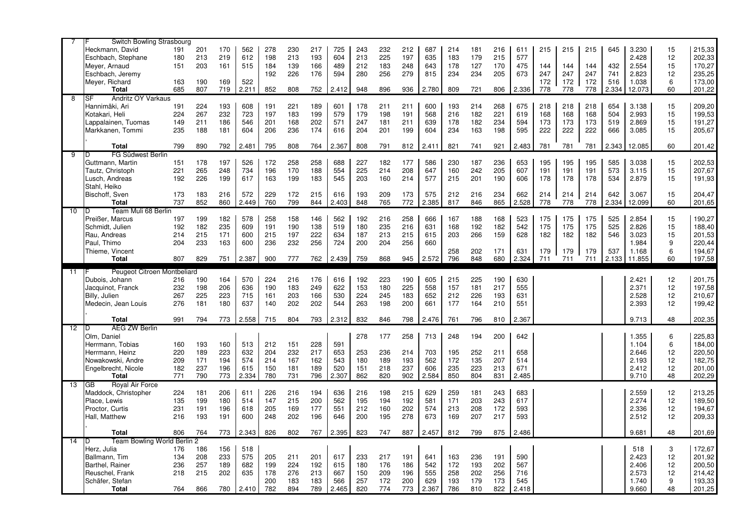|                | Switch Bowling Strasbourg       |     |     |     |       |            |            |            |              |            |            |            |              |            |            |            |              |     |     |     |       |                |         |                  |
|----------------|---------------------------------|-----|-----|-----|-------|------------|------------|------------|--------------|------------|------------|------------|--------------|------------|------------|------------|--------------|-----|-----|-----|-------|----------------|---------|------------------|
|                | Heckmann, David                 | 191 | 201 | 170 | 562   | 278        | 230        | 217        | 725          | 243        | 232        | 212        | 687          | 214        | 181        | 216        | 611          | 215 | 215 | 215 | 645   | 3.230          | 15      | 215,33           |
|                | Eschbach, Stephane              | 180 | 213 | 219 | 612   | 198        | 213        | 193        | 604          | 213        | 225        | 197        | 635          | 183        | 179        | 215        | 577          |     |     |     |       | 2.428          | 12      | 202,33           |
|                | Meyer, Arnaud                   | 151 | 203 | 161 | 515   | 184        | 139        | 166        | 489          | 212        | 183        | 248        | 643          | 178        | 127        | 170        | 475          | 144 | 144 | 144 | 432   | 2.554          | 15      | 170,27           |
|                | Eschbach, Jeremy                |     |     |     |       | 192        | 226        | 176        | 594          | 280        | 256        | 279        | 815          | 234        | 234        | 205        | 673          | 247 | 247 | 247 | 741   | 2.823          | 12      | 235,25           |
|                | Meyer, Richard                  | 163 | 190 | 169 | 522   |            |            |            |              |            |            |            |              |            |            |            |              | 172 | 172 | 172 | 516   | 1.038          | 6       | 173,00           |
|                | <b>Total</b>                    | 685 | 807 | 719 | 2.211 | 852        | 808        | 752        | 2.412        | 948        | 896        | 936        | 2.780        | 809        | 721        | 806        | 2.336        | 778 | 778 | 778 | 2.334 | 12.073         | 60      | 201,22           |
| $\overline{8}$ | SF<br>Andritz OY Varkaus        |     |     |     |       |            |            |            |              |            |            |            |              |            |            |            |              |     |     |     |       |                |         |                  |
|                | Hannimäki. Ari                  | 191 | 224 | 193 | 608   | 191        | 221        | 189        | 601          | 178        | 211        | 211        | 600          | 193        | 214        | 268        | 675          | 218 | 218 | 218 | 654   | 3.138          | 15      | 209,20           |
|                | Kotakari, Heli                  | 224 | 267 | 232 | 723   | 197        | 183        | 199        | 579          | 179        | 198        | 191        | 568          | 216        | 182        | 221        | 619          | 168 | 168 | 168 | 504   | 2.993          | 15      | 199,53           |
|                | Lappalainen, Tuomas             | 149 | 211 | 186 | 546   | 201        | 168        | 202        | 571          | 247        | 181        | 211        | 639          | 178        | 182        | 234        | 594          | 173 | 173 | 173 | 519   | 2.869          | 15      | 191,27           |
|                | Markkanen, Tommi                | 235 | 188 | 181 | 604   | 206        | 236        | 174        | 616          | 204        | 201        | 199        | 604          | 234        | 163        | 198        | 595          | 222 | 222 | 222 | 666   | 3.085          | 15      | 205,67           |
|                |                                 |     |     |     |       |            |            |            |              |            |            |            |              |            |            |            |              |     |     |     |       |                |         |                  |
|                | Total                           | 799 | 890 | 792 | 2.481 | 795        | 808        | 764        | 2.367        | 808        | 791        | 812        | 2.411        | 821        | 741        | 921        | 2.483        | 781 | 781 | 781 | 2.343 | 12.085         | 60      | 201,42           |
| -9             | FG Südwest Berlin<br>n          |     |     |     |       |            |            |            |              |            |            |            |              |            |            |            |              |     |     |     |       |                |         |                  |
|                | Guttmann, Martin                | 151 | 178 | 197 | 526   | 172        | 258        | 258        | 688          | 227        | 182        | 177        | 586          | 230        | 187        | 236        | 653          | 195 | 195 | 195 | 585   | 3.038          | 15      | 202,53           |
|                | Tautz, Christoph                | 221 | 265 | 248 | 734   | 196        | 170        | 188        | 554          | 225        | 214        | 208        | 647          | 160        | 242        | 205        | 607          | 191 | 191 | 191 | 573   | 3.115          | 15      | 207,67           |
|                | Lusch, Andreas                  | 192 | 226 | 199 | 617   | 163        | 199        | 183        | 545          | 203        | 160        | 214        | 577          | 215        | 201        | 190        | 606          | 178 | 178 | 178 | 534   | 2.879          | 15      | 191,93           |
|                | Stahl, Heiko                    |     |     |     |       |            |            |            |              |            |            |            |              |            |            |            |              |     |     |     |       |                |         |                  |
|                | Bischoff, Sven                  | 173 | 183 | 216 | 572   | 229        | 172        | 215        | 616          | 193        | 209        | 173        | 575          | 212        | 216        | 234        | 662          | 214 | 214 | 214 | 642   | 3.067          | 15      | 204,47           |
|                | <b>Total</b>                    | 737 | 852 | 860 | 2.449 | 760        | 799        | 844        | 2.403        | 848        | 765        | 772        | 2.385        | 817        | 846        | 865        | 2.528        | 778 | 778 | 778 | 2.334 | 12.099         | 60      | 201,65           |
| 10             | Team Muli 68 Berlin<br>D        |     |     |     |       |            |            |            |              |            |            |            |              |            |            |            |              |     |     |     |       |                |         |                  |
|                | Preißer, Marcus                 | 197 | 199 | 182 | 578   | 258        | 158        | 146        | 562          | 192        | 216        | 258        | 666          | 167        | 188        | 168        | 523          | 175 | 175 | 175 | 525   | 2.854          | 15      | 190,27           |
|                | Schmidt, Julien                 | 192 | 182 | 235 | 609   | 191        | 190        | 138        | 519          | 180        | 235        | 216        | 631          | 168        | 192        | 182        | 542          | 175 | 175 | 175 | 525   | 2.826          | 15      | 188,40           |
|                | Rau, Andreas                    | 214 | 215 | 171 | 600   | 215        | 197        | 222        | 634          | 187        | 213        | 215        | 615          | 203        | 266        | 159        | 628          | 182 | 182 | 182 | 546   | 3.023          | 15      | 201,53           |
|                | Paul. Thimo                     | 204 | 233 | 163 | 600   | 236        | 232        | 256        | 724          | 200        | 204        | 256        | 660          |            |            |            |              |     |     |     |       | 1.984          | 9       | 220,44           |
|                | Thieme, Vincent                 |     |     |     |       |            |            |            |              |            |            |            |              | 258        | 202        | 171        | 631          | 179 | 179 | 179 | 537   | 1.168          | 6       | 194,67           |
|                | <b>Total</b>                    | 807 | 829 | 751 | 2.387 | 900        | 777        | 762        | 2.439        | 759        | 868        | 945        | 2.572        | 796        | 848        | 680        | 2.324        | 711 | 711 | 711 | 2.133 | 11.855         | 60      | 197,58           |
|                |                                 |     |     |     |       |            |            |            |              |            |            |            |              |            |            |            |              |     |     |     |       |                |         |                  |
|                |                                 |     |     |     |       |            |            |            |              |            |            |            |              |            |            |            |              |     |     |     |       |                |         |                  |
| 11             | Peugeot Citroen Montbeliard     |     |     |     |       |            |            |            |              |            |            |            |              |            |            |            |              |     |     |     |       |                |         |                  |
|                | Dubois, Johann                  | 216 | 190 | 164 | 570   | 224        | 216        | 176        | 616          | 192        | 223        | 190        | 605          | 215        | 225        | 190        | 630          |     |     |     |       | 2.421          | 12      | 201,75           |
|                | Jacquinot, Franck               | 232 | 198 | 206 | 636   | 190        | 183        | 249        | 622          | 153        | 180        | 225        | 558          | 157        | 181        | 217        | 555          |     |     |     |       | 2.371          | 12      | 197,58           |
|                | Billy, Julien                   | 267 | 225 | 223 | 715   | 161        | 203        | 166        | 530          | 224        | 245        | 183        | 652          | 212        | 226        | 193        | 631          |     |     |     |       | 2.528          | 12      | 210,67           |
|                | Medecin, Jean Louis             | 276 | 181 | 180 | 637   | 140        | 202        | 202        | 544          | 263        | 198        | 200        | 661          | 177        | 164        | 210        | 551          |     |     |     |       | 2.393          | 12      | 199,42           |
|                |                                 |     |     |     |       |            |            |            |              |            |            |            |              |            |            |            |              |     |     |     |       |                |         |                  |
|                | <b>Total</b>                    | 991 | 794 | 773 | 2.558 | 715        | 804        | 793        | 2.312        | 832        | 846        | 798        | 2.476        | 761        | 796        | 810        | 2.367        |     |     |     |       | 9.713          | 48      | 202,35           |
| 12             | <b>AEG ZW Berlin</b><br>D       |     |     |     |       |            |            |            |              |            |            |            |              |            |            |            |              |     |     |     |       |                |         |                  |
|                | Olm. Daniel                     |     |     |     |       |            |            |            |              | 278        | 177        | 258        | 713          | 248        | 194        | 200        | 642          |     |     |     |       | 1.355          | 6       | 225,83           |
|                | Herrmann, Tobias                | 160 | 193 | 160 | 513   | 212        | 151        | 228        | 591          |            |            |            |              |            |            |            |              |     |     |     |       | 1.104          | 6       | 184,00           |
|                | Herrmann, Heinz                 | 220 | 189 | 223 | 632   | 204        | 232        | 217        | 653          | 253        | 236        | 214        | 703          | 195        | 252        | 211        | 658          |     |     |     |       | 2.646          | 12      | 220,50           |
|                | Nowakowski, Andre               | 209 | 171 | 194 | 574   | 214        | 167        | 162        | 543          | 180        | 189        | 193        | 562          | 172        | 135        | 207        | 514          |     |     |     |       | 2.193          | 12      | 182,75           |
|                | Engelbrecht, Nicole             | 182 | 237 | 196 | 615   | 150        | 181        | 189        | 520          | 151        | 218        | 237        | 606          | 235        | 223        | 213        | 671          |     |     |     |       | 2.412          | 12      | 201,00           |
|                | <b>Total</b>                    | 771 | 790 | 773 | 2.334 | 780        | 731        | 796        | 2.307        | 862        | 820        | 902        | 2.584        | 850        | 804        | 831        | 2.485        |     |     |     |       | 9.710          | 48      | 202,29           |
| 13             | Royal Air Force<br>GB           |     |     |     |       |            |            |            |              |            |            |            |              |            |            |            |              |     |     |     |       |                |         |                  |
|                | Maddock, Christopher            | 224 | 181 | 206 | 611   | 226        | 216        | 194        | 636          | 216        | 198        | 215        | 629          | 259        | 181        | 243        | 683          |     |     |     |       | 2.559          | 12      | 213,25           |
|                | Place, Lewis                    | 135 | 199 | 180 | 514   | 147        | 215        | 200        | 562          | 195        | 194        | 192        | 581          | 171        | 203        | 243        | 617          |     |     |     |       | 2.274          | 12      | 189,50           |
|                | Proctor, Curtis                 | 231 | 191 | 196 | 618   | 205        | 169        | 177        | 551          | 212        | 160        | 202        | 574          | 213        | 208        | 172        | 593          |     |     |     |       | 2.336          | 12      | 194,67           |
|                | Hall, Matthew                   | 216 | 193 | 191 | 600   | 248        | 202        | 196        | 646          | 200        | 195        | 278        | 673          | 169        | 207        | 217        | 593          |     |     |     |       | 2.512          | 12      | 209,33           |
|                |                                 |     |     |     |       |            |            |            |              |            |            |            |              |            |            |            |              |     |     |     |       |                |         |                  |
|                | Total                           | 806 | 764 | 773 | 2.343 | 826        | 802        | 767        | 2.395        | 823        | 747        | 887        | 2.457        | 812        | 799        | 875        | 2.486        |     |     |     |       | 9.681          | 48      | 201,69           |
| 14             | Team Bowling World Berlin 2     |     |     |     |       |            |            |            |              |            |            |            |              |            |            |            |              |     |     |     |       |                |         |                  |
|                | Herz, Julia                     | 176 | 186 | 156 | 518   |            |            |            |              |            |            |            |              |            |            |            |              |     |     |     |       | 518            | 3       | 172,67           |
|                | Ballmann. Tim                   | 134 | 208 | 233 | 575   | 205        | 211        | 201        | 617          | 233        | 217        | 191        | 641          | 163        | 236        | 191        | 590          |     |     |     |       | 2.423          | 12      | 201,92           |
|                | Barthel, Rainer                 | 236 | 257 | 189 | 682   | 199        | 224        | 192        | 615          | 180        | 176        | 186        | 542          | 172        | 193        | 202        | 567          |     |     |     |       | 2.406          | 12      | 200,50           |
|                | Reuschel, Frank                 | 218 | 215 | 202 | 635   | 178        | 276        | 213        | 667          | 150        | 209        | 196        | 555          | 258        | 202        | 256        | 716          |     |     |     |       | 2.573          | 12      | 214,42           |
|                | Schäfer, Stefan<br><b>Total</b> | 764 | 866 | 780 | 2.410 | 200<br>782 | 183<br>894 | 183<br>789 | 566<br>2.465 | 257<br>820 | 172<br>774 | 200<br>773 | 629<br>2.367 | 193<br>786 | 179<br>810 | 173<br>822 | 545<br>2.418 |     |     |     |       | 1.740<br>9.660 | 9<br>48 | 193,33<br>201,25 |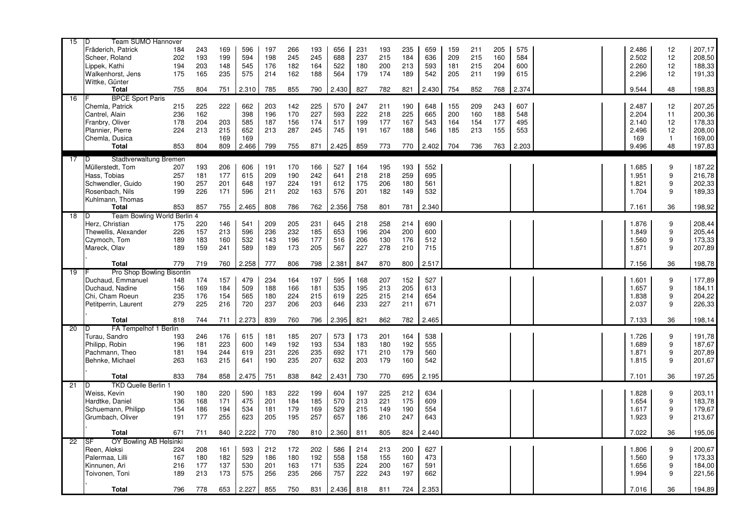| 15              | Team SUMO Hannover<br>D           |            |            |            |            |            |     |            |            |            |            |            |            |     |     |     |       |  |                |                  |                  |
|-----------------|-----------------------------------|------------|------------|------------|------------|------------|-----|------------|------------|------------|------------|------------|------------|-----|-----|-----|-------|--|----------------|------------------|------------------|
|                 | Fräderich, Patrick                | 184        | 243        | 169        | 596        | 197        | 266 | 193        | 656        | 231        | 193        | 235        | 659        | 159 | 211 | 205 | 575   |  | 2.486          | 12               | 207,17           |
|                 | Scheer, Roland                    | 202        | 193        | 199        | 594        | 198        | 245 | 245        | 688        | 237        | 215        | 184        | 636        | 209 | 215 | 160 | 584   |  | 2.502          | 12               | 208,50           |
|                 | Lippek, Kathi                     | 194        | 203        | 148        | 545        | 176        | 182 | 164        | 522        | 180        | 200        | 213        | 593        | 181 | 215 | 204 | 600   |  | 2.260          | 12               | 188,33           |
|                 | Walkenhorst, Jens                 | 175        | 165        | 235        | 575        | 214        | 162 | 188        | 564        | 179        | 174        | 189        | 542        | 205 | 211 | 199 | 615   |  | 2.296          | 12               | 191,33           |
|                 | Wittke, Günter                    |            |            |            |            |            |     |            |            |            |            |            |            |     |     |     |       |  |                |                  |                  |
|                 | <b>Total</b>                      | 755        | 804        | 751        | 2.310      | 785        | 855 | 790        | 2.430      | 827        | 782        | 821        | 2.430      | 754 | 852 | 768 | 2.374 |  | 9.544          | 48               | 198,83           |
| 16              | <b>BPCE Sport Paris</b>           |            |            |            |            |            |     |            |            |            |            |            |            |     |     |     |       |  |                |                  |                  |
|                 | Chemla, Patrick                   | 215        | 225        | 222        | 662        | 203        | 142 | 225        | 570        | 247        | 211        | 190        | 648        | 155 | 209 | 243 | 607   |  | 2.487          | 12               | 207,25           |
|                 | Cantrel, Alain                    | 236        | 162        |            | 398        | 196        | 170 | 227        | 593        | 222        | 218        | 225        | 665        | 200 | 160 | 188 | 548   |  | 2.204          | 11               | 200,36           |
|                 | Franbry, Oliver                   | 178        | 204        | 203        | 585        | 187        | 156 | 174        | 517        | 199        | 177        | 167        | 543        | 164 | 154 | 177 | 495   |  | 2.140          | 12               | 178,33           |
|                 | Plannier, Pierre                  | 224        | 213        | 215        | 652        | 213        | 287 | 245        | 745        | 191        | 167        | 188        | 546        | 185 | 213 | 155 | 553   |  | 2.496          | 12               | 208,00           |
|                 | Chemla, Dusica                    |            |            | 169        | 169        |            |     |            |            |            |            |            |            |     |     |     |       |  | 169            | $\mathbf{1}$     |                  |
|                 | <b>Total</b>                      | 853        | 804        | 809        | 2.466      | 799        | 755 | 871        | 2.425      | 859        | 773        | 770        | 2.402      | 704 | 736 | 763 | 2.203 |  | 9.496          | 48               | 169,00<br>197,83 |
|                 |                                   |            |            |            |            |            |     |            |            |            |            |            |            |     |     |     |       |  |                |                  |                  |
| 17              | Stadtverwaltung Bremen<br>D       |            |            |            |            |            |     |            |            |            |            |            |            |     |     |     |       |  |                |                  |                  |
|                 | Müllerstedt, Tom                  | 207        | 193        | 206        | 606        | 191        | 170 | 166        | 527        | 164        | 195        | 193        | 552        |     |     |     |       |  | 1.685          | 9                | 187,22           |
|                 | Hass, Tobias                      | 257        | 181        | 177        | 615        | 209        | 190 | 242        | 641        | 218        | 218        | 259        | 695        |     |     |     |       |  | 1.951          | 9                | 216,78           |
|                 | Schwendler, Guido                 | 190        | 257        | 201        | 648        | 197        | 224 | 191        | 612        | 175        | 206        | 180        | 561        |     |     |     |       |  | 1.821          | 9                | 202,33           |
|                 | Rosenbach, Nils                   | 199        | 226        | 171        | 596        | 211        | 202 | 163        | 576        | 201        | 182        | 149        | 532        |     |     |     |       |  | 1.704          | 9                | 189,33           |
|                 | Kuhlmann, Thomas                  |            |            |            |            |            |     |            |            |            |            |            |            |     |     |     |       |  |                |                  |                  |
|                 | <b>Total</b>                      | 853        | 857        | 755        | 2.465      | 808        | 786 | 762        | 2.356      | 758        | 801        | 781        | 2.340      |     |     |     |       |  | 7.161          | 36               | 198,92           |
| $\overline{18}$ | Team Bowling World Berlin 4<br>ID |            |            |            |            |            |     |            |            |            |            |            |            |     |     |     |       |  |                |                  |                  |
|                 | Herz, Christian                   | 175        | 220        | 146        | 541        | 209        | 205 | 231        | 645        | 218        | 258        | 214        | 690        |     |     |     |       |  | 1.876          | 9                | 208,44           |
|                 | Thewellis, Alexander              | 226        | 157        | 213        | 596        | 236        | 232 | 185        | 653        | 196        | 204        | 200        | 600        |     |     |     |       |  | 1.849          | 9                | 205,44           |
|                 | Czymoch, Tom                      | 189        | 183        | 160        | 532        | 143        | 196 | 177        | 516        | 206        | 130        | 176        | 512        |     |     |     |       |  | 1.560          | 9                | 173,33           |
|                 | Mareck, Olav                      | 189        | 159        | 241        | 589        | 189        | 173 | 205        | 567        | 227        | 278        | 210        | 715        |     |     |     |       |  | 1.871          | 9                | 207,89           |
|                 |                                   |            |            |            |            |            |     |            |            |            |            |            |            |     |     |     |       |  |                |                  |                  |
|                 | Total                             | 779        | 719        | 760        | 2.258      | 777        | 806 | 798        | 2.381      | 847        | 870        | 800        | 2.517      |     |     |     |       |  | 7.156          | 36               | 198,78           |
| 19              | Pro Shop Bowling Bisontin         |            |            |            |            |            |     |            |            |            |            |            |            |     |     |     |       |  |                |                  |                  |
|                 | Duchaud, Emmanuel                 | 148        | 174        | 157        | 479        | 234        | 164 | 197        | 595        | 168        | 207        | 152        | 527        |     |     |     |       |  | 1.601          | 9                | 177,89           |
|                 | Duchaud, Nadine                   | 156        | 169        | 184        | 509        | 188        | 166 | 181        | 535        | 195        | 213        | 205        | 613        |     |     |     |       |  | 1.657          | 9                | 184,11           |
|                 | Chi, Cham Roeun                   | 235        | 176        | 154        | 565        | 180        | 224 | 215        | 619        | 225        | 215        | 214        | 654        |     |     |     |       |  | 1.838          | 9                | 204,22           |
|                 | Petitperrin, Laurent              | 279        | 225        | 216        | 720        | 237        | 206 | 203        | 646        | 233        | 227        | 211        | 671        |     |     |     |       |  | 2.037          | 9                | 226,33           |
|                 |                                   |            |            |            |            |            |     |            |            |            |            |            |            |     |     |     |       |  |                |                  |                  |
|                 | <b>Total</b>                      | 818        | 744        | 711        | 2.273      | 839        | 760 | 796        | 2.395      | 821        | 862        | 782        | 2.465      |     |     |     |       |  | 7.133          | 36               | 198,14           |
| 20              | FA Tempelhof 1 Berlin<br>D        |            |            |            |            |            |     |            |            |            |            |            |            |     |     |     |       |  |                |                  |                  |
|                 | Turau, Sandro                     | 193        | 246        | 176        | 615        | 181        | 185 | 207        | 573        | 173        | 201        | 164        | 538        |     |     |     |       |  | 1.726          | 9                | 191,78           |
|                 | Philipp, Robin                    | 196        | 181        | 223        | 600        | 149        | 192 | 193        | 534        | 183        | 180        | 192        | 555        |     |     |     |       |  | 1.689          | $\boldsymbol{9}$ | 187,67           |
|                 | Pachmann, Theo                    | 181        | 194        | 244        | 619        | 231        | 226 | 235        | 692        | 171        | 210        | 179        | 560        |     |     |     |       |  | 1.871          | 9                | 207,89           |
|                 | Behnke, Michael                   | 263        | 163        | 215        | 641        | 190        | 235 | 207        | 632        | 203        | 179        | 160        | 542        |     |     |     |       |  | 1.815          | 9                | 201,67           |
|                 | <b>Total</b>                      |            |            | 858        | 2.475      | 751        | 838 | 842        | 2.431      | 730        | 770        | 695        | 2.195      |     |     |     |       |  | 7.101          | 36               | 197,25           |
| 21              | <b>TKD Quelle Berlin 1</b><br>D   | 833        | 784        |            |            |            |     |            |            |            |            |            |            |     |     |     |       |  |                |                  |                  |
|                 | Weiss, Kevin                      | 190        | 180        | 220        | 590        | 183        | 222 | 199        | 604        | 197        | 225        | 212        | 634        |     |     |     |       |  | 1.828          | 9                | 203,11           |
|                 | Hardtke, Daniel                   | 136        | 168        | 171        | 475        | 201        | 184 | 185        | 570        | 213        | 221        | 175        | 609        |     |     |     |       |  | 1.654          | 9                | 183,78           |
|                 | Schuemann, Philipp                |            |            | 194        | 534        |            | 179 |            | 529        |            |            | 190        | 554        |     |     |     |       |  |                | 9                | 179,67           |
|                 |                                   | 154<br>191 | 186<br>177 |            | 623        | 181<br>205 | 195 | 169        | 657        | 215<br>186 | 149<br>210 | 247        | 643        |     |     |     |       |  | 1.617<br>1.923 | 9                |                  |
|                 | Grumbach, Oliver                  |            |            | 255        |            |            |     | 257        |            |            |            |            |            |     |     |     |       |  |                |                  | 213,67           |
|                 |                                   |            |            |            |            |            |     |            |            | 811        | 805        | 824        | 2.440      |     |     |     |       |  | 7.022          | 36               | 195,06           |
|                 | <b>Total</b>                      | 671        | 711        | 840        | 2.222      | 770        | 780 | 810        | 2.360      |            |            |            |            |     |     |     |       |  |                |                  |                  |
| $\overline{22}$ | OY Bowling AB Helsinki<br>ISF     |            |            |            |            |            |     |            |            |            |            |            |            |     |     |     |       |  |                |                  |                  |
|                 | Reen, Aleksi                      | 224        | 208        | 161        | 593        | 212        | 172 | 202        | 586        | 214        | 213        | 200        | 627        |     |     |     |       |  | 1.806          | 9                | 200,67           |
|                 | Palermaa, Lilli                   | 167        | 180        | 182        | 529        | 186        | 180 | 192        | 558        | 158        | 155        | 160        | 473        |     |     |     |       |  | 1.560          | 9                | 173,33           |
|                 |                                   |            |            |            |            |            |     |            |            |            |            |            |            |     |     |     |       |  |                | 9                |                  |
|                 | Kinnunen, Ari<br>Toivonen, Toni   | 216<br>189 | 177<br>213 | 137<br>173 | 530<br>575 | 201<br>256 | 163 | 171<br>266 | 535<br>757 | 224<br>222 | 200<br>243 | 167<br>197 | 591<br>662 |     |     |     |       |  | 1.656<br>1.994 | 9                | 184,00           |
|                 |                                   |            |            |            |            |            | 235 |            |            |            |            |            |            |     |     |     |       |  |                |                  | 221,56           |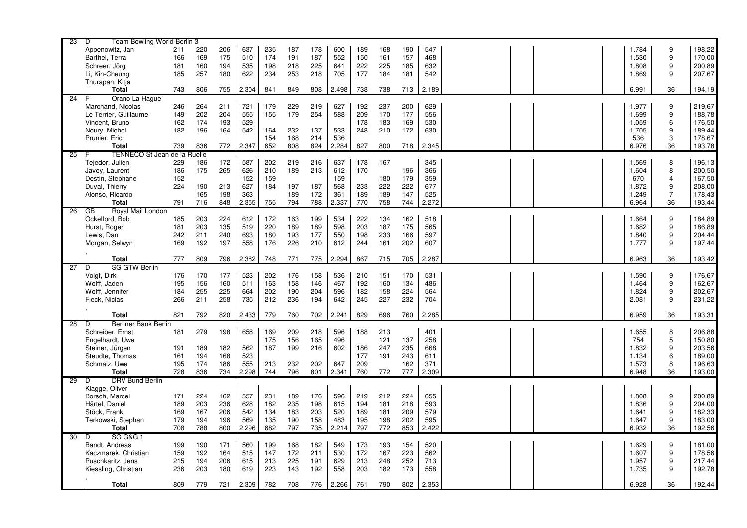| 23              | Team Bowling World Berlin 3<br>D    |     |     |     |       |     |     |     |       |     |     |     |       |  |  |       |                |        |
|-----------------|-------------------------------------|-----|-----|-----|-------|-----|-----|-----|-------|-----|-----|-----|-------|--|--|-------|----------------|--------|
|                 | Appenowitz, Jan                     | 211 | 220 | 206 | 637   | 235 | 187 | 178 | 600   | 189 | 168 | 190 | 547   |  |  | 1.784 | 9              | 198,22 |
|                 | Barthel, Terra                      | 166 | 169 | 175 | 510   | 174 | 191 | 187 | 552   | 150 | 161 | 157 | 468   |  |  | 1.530 | 9              | 170,00 |
|                 | Schreer, Jörg                       | 181 | 160 | 194 | 535   | 198 | 218 | 225 | 641   | 222 | 225 | 185 | 632   |  |  | 1.808 | 9              | 200,89 |
|                 | Li, Kin-Cheung                      | 185 | 257 | 180 | 622   | 234 | 253 | 218 | 705   | 177 | 184 | 181 | 542   |  |  | 1.869 | 9              | 207,67 |
|                 | Thurapan, Kitja                     |     |     |     |       |     |     |     |       |     |     |     |       |  |  |       |                |        |
|                 |                                     |     |     |     |       |     |     |     |       |     |     |     |       |  |  |       |                |        |
|                 | Total                               | 743 | 806 | 755 | 2.304 | 841 | 849 | 808 | 2.498 | 738 | 738 | 713 | 2.189 |  |  | 6.991 | 36             | 194,19 |
| 24              | Orano La Hague                      |     |     |     |       |     |     |     |       |     |     |     |       |  |  |       |                |        |
|                 | Marchand, Nicolas                   | 246 | 264 | 211 | 721   | 179 | 229 | 219 | 627   | 192 | 237 | 200 | 629   |  |  | 1.977 | 9              | 219,67 |
|                 | Le Terrier, Guillaume               | 149 | 202 | 204 | 555   | 155 | 179 | 254 | 588   | 209 | 170 | 177 | 556   |  |  | 1.699 | 9              | 188,78 |
|                 | Vincent. Bruno                      | 162 | 174 | 193 | 529   |     |     |     |       | 178 | 183 | 169 | 530   |  |  | 1.059 | 6              | 176,50 |
|                 | Noury, Michel                       | 182 | 196 | 164 | 542   | 164 | 232 | 137 | 533   | 248 | 210 | 172 | 630   |  |  | 1.705 | 9              | 189,44 |
|                 | Prunier, Eric                       |     |     |     |       | 154 | 168 | 214 | 536   |     |     |     |       |  |  | 536   | 3              | 178,67 |
|                 | <b>Total</b>                        | 739 | 836 | 772 | 2.347 | 652 | 808 | 824 | 2.284 | 827 | 800 | 718 | 2.345 |  |  | 6.976 | 36             | 193,78 |
| 25              | <b>TENNECO St Jean de la Ruelle</b> |     |     |     |       |     |     |     |       |     |     |     |       |  |  |       |                |        |
|                 |                                     |     |     |     |       |     |     |     |       |     |     |     |       |  |  |       |                |        |
|                 | Tejedor, Julien                     | 229 | 186 | 172 | 587   | 202 | 219 | 216 | 637   | 178 | 167 |     | 345   |  |  | 1.569 | 8              | 196,13 |
|                 | Javoy, Laurent                      | 186 | 175 | 265 | 626   | 210 | 189 | 213 | 612   | 170 |     | 196 | 366   |  |  | 1.604 | 8              | 200,50 |
|                 | Destin, Stephane                    | 152 |     |     | 152   | 159 |     |     | 159   |     | 180 | 179 | 359   |  |  | 670   | 4              | 167,50 |
|                 | Duval, Thierry                      | 224 | 190 | 213 | 627   | 184 | 197 | 187 | 568   | 233 | 222 | 222 | 677   |  |  | 1.872 | 9              | 208,00 |
|                 | Alonso, Ricardo                     |     | 165 | 198 | 363   |     | 189 | 172 | 361   | 189 | 189 | 147 | 525   |  |  | 1.249 | $\overline{7}$ | 178,43 |
|                 | <b>Total</b>                        | 791 | 716 | 848 | 2.355 | 755 | 794 | 788 | 2.337 | 770 | 758 | 744 | 2.272 |  |  | 6.964 | 36             | 193,44 |
| 26              | Royal Mail London<br>GB             |     |     |     |       |     |     |     |       |     |     |     |       |  |  |       |                |        |
|                 | Ockelford, Bob                      | 185 | 203 | 224 | 612   | 172 | 163 | 199 | 534   | 222 | 134 | 162 | 518   |  |  | 1.664 | 9              | 184,89 |
|                 | Hurst, Roger                        | 181 | 203 | 135 | 519   | 220 | 189 | 189 | 598   | 203 | 187 | 175 | 565   |  |  | 1.682 | 9              | 186,89 |
|                 | Lewis, Dan                          | 242 | 211 | 240 | 693   | 180 | 193 | 177 | 550   | 198 | 233 | 166 | 597   |  |  | 1.840 | 9              | 204,44 |
|                 | Morgan, Selwyn                      | 169 | 192 | 197 | 558   | 176 | 226 | 210 | 612   | 244 | 161 | 202 | 607   |  |  | 1.777 | 9              | 197,44 |
|                 |                                     |     |     |     |       |     |     |     |       |     |     |     |       |  |  |       |                |        |
|                 | <b>Total</b>                        | 777 | 809 | 796 | 2.382 | 748 | 771 | 775 | 2.294 | 867 | 715 | 705 | 2.287 |  |  | 6.963 | 36             | 193,42 |
|                 | <b>SG GTW Berlin</b>                |     |     |     |       |     |     |     |       |     |     |     |       |  |  |       |                |        |
| 27              | D                                   |     |     |     |       |     |     |     |       |     |     |     |       |  |  |       |                |        |
|                 | Voigt, Dirk                         | 176 | 170 | 177 | 523   | 202 | 176 | 158 | 536   | 210 | 151 | 170 | 531   |  |  | 1.590 | 9              | 176,67 |
|                 | Wolff, Jaden                        | 195 | 156 | 160 | 511   | 163 | 158 | 146 | 467   | 192 | 160 | 134 | 486   |  |  | 1.464 | 9              | 162,67 |
|                 | Wolff, Jennifer                     | 184 | 255 | 225 | 664   | 202 | 190 | 204 | 596   | 182 | 158 | 224 | 564   |  |  | 1.824 | 9              | 202,67 |
|                 | Fieck, Niclas                       | 266 | 211 | 258 | 735   | 212 | 236 | 194 | 642   | 245 | 227 | 232 | 704   |  |  | 2.081 | 9              | 231,22 |
|                 |                                     |     |     |     |       |     |     |     |       |     |     |     |       |  |  |       |                |        |
|                 | <b>Total</b>                        | 821 | 792 | 820 | 2.433 | 779 | 760 | 702 | 2.241 | 829 | 696 | 760 | 2.285 |  |  | 6.959 | 36             | 193,31 |
| $\overline{28}$ | Berliner Bank Berlin<br>D           |     |     |     |       |     |     |     |       |     |     |     |       |  |  |       |                |        |
|                 | Schreiber, Ernst                    | 181 | 279 | 198 | 658   | 169 | 209 | 218 | 596   | 188 | 213 |     | 401   |  |  | 1.655 | 8              | 206,88 |
|                 | Engelhardt, Uwe                     |     |     |     |       | 175 | 156 | 165 | 496   |     | 121 | 137 | 258   |  |  | 754   | 5              | 150,80 |
|                 | Steiner, Jürgen                     | 191 | 189 | 182 | 562   | 187 | 199 | 216 | 602   | 186 | 247 | 235 | 668   |  |  | 1.832 | 9              | 203,56 |
|                 | Steudte, Thomas                     | 161 | 194 | 168 | 523   |     |     |     |       | 177 | 191 | 243 | 611   |  |  | 1.134 | 6              | 189,00 |
|                 | Schmalz, Uwe                        | 195 | 174 | 186 | 555   | 213 | 232 | 202 | 647   | 209 |     | 162 | 371   |  |  | 1.573 | 8              | 196,63 |
|                 | <b>Total</b>                        | 728 | 836 | 734 | 2.298 | 744 | 796 | 801 | 2.341 | 760 | 772 | 777 | 2.309 |  |  | 6.948 | 36             | 193,00 |
| 29              | <b>DRV Bund Berlin</b><br>D.        |     |     |     |       |     |     |     |       |     |     |     |       |  |  |       |                |        |
|                 |                                     |     |     |     |       |     |     |     |       |     |     |     |       |  |  |       |                |        |
|                 | Klagge, Oliver                      |     |     |     |       |     |     |     |       |     |     |     |       |  |  |       |                |        |
|                 | Borsch, Marcel                      | 171 | 224 | 162 | 557   | 231 | 189 | 176 | 596   | 219 | 212 | 224 | 655   |  |  | 1.808 | 9              | 200,89 |
|                 | Härtel, Daniel                      | 189 | 203 | 236 | 628   | 182 | 235 | 198 | 615   | 194 | 181 | 218 | 593   |  |  | 1.836 | 9              | 204,00 |
|                 | Stöck, Frank                        | 169 | 167 | 206 | 542   | 134 | 183 | 203 | 520   | 189 | 181 | 209 | 579   |  |  | 1.641 | 9              | 182,33 |
|                 | Terkowski, Stephan                  | 179 | 194 | 196 | 569   | 135 | 190 | 158 | 483   | 195 | 198 | 202 | 595   |  |  | 1.647 | 9              | 183,00 |
|                 | <b>Total</b>                        | 708 | 788 | 800 | 2.296 | 682 | 797 | 735 | 2.214 | 797 | 772 | 853 | 2.422 |  |  | 6.932 | 36             | 192,56 |
| 30              | <b>SG G&amp;G 1</b><br>D            |     |     |     |       |     |     |     |       |     |     |     |       |  |  |       |                |        |
|                 | Bandt, Andreas                      | 199 | 190 | 171 | 560   | 199 | 168 | 182 | 549   | 173 | 193 | 154 | 520   |  |  | 1.629 | 9              | 181,00 |
|                 | Kaczmarek, Christian                | 159 | 192 | 164 | 515   | 147 | 172 | 211 | 530   | 172 | 167 | 223 | 562   |  |  | 1.607 | 9              | 178,56 |
|                 | Puschkaritz, Jens                   | 215 | 194 | 206 | 615   | 213 | 225 | 191 | 629   | 213 | 248 | 252 | 713   |  |  | 1.957 | 9              | 217,44 |
|                 |                                     |     |     | 180 | 619   | 223 | 143 | 192 | 558   | 203 | 182 | 173 | 558   |  |  | 1.735 | 9              | 192,78 |
|                 |                                     |     |     |     |       |     |     |     |       |     |     |     |       |  |  |       |                |        |
|                 | Kiessling, Christian                | 236 | 203 |     |       |     |     |     |       |     |     |     |       |  |  |       |                |        |
|                 | <b>Total</b>                        | 809 | 779 | 721 | 2.309 | 782 | 708 | 776 | 2.266 | 761 | 790 | 802 | 2.353 |  |  | 6.928 | 36             | 192,44 |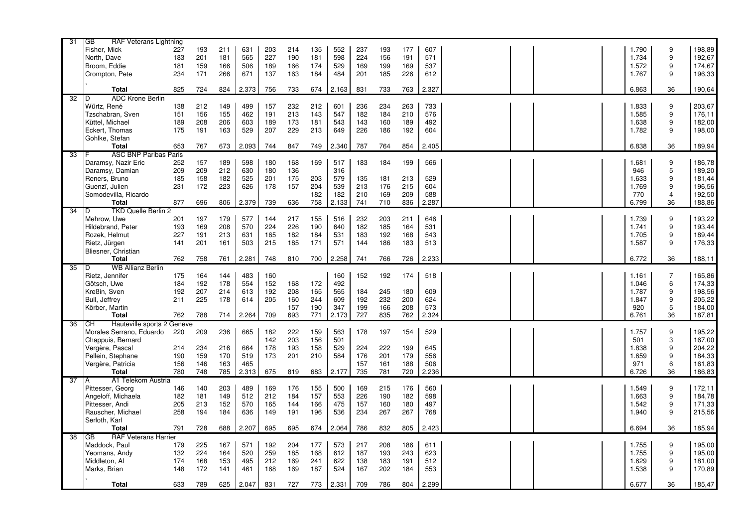| 31 | GВ<br>RAF Veterans Lightning     |     |            |     |       |     |            |     |            |     |     |     |            |  |  |       |                  |        |
|----|----------------------------------|-----|------------|-----|-------|-----|------------|-----|------------|-----|-----|-----|------------|--|--|-------|------------------|--------|
|    | Fisher, Mick                     | 227 | 193        | 211 | 631   | 203 | 214        | 135 | 552        | 237 | 193 | 177 | 607        |  |  | 1.790 | 9                | 198,89 |
|    | North, Dave                      | 183 | 201        | 181 | 565   | 227 | 190        | 181 | 598        | 224 | 156 | 191 | 571        |  |  | 1.734 | 9                | 192,67 |
|    | Broom. Eddie                     | 181 | 159        | 166 | 506   | 189 | 166        | 174 | 529        | 169 | 199 | 169 | 537        |  |  | 1.572 | 9                | 174,67 |
|    | Crompton, Pete                   | 234 | 171        | 266 | 671   | 137 | 163        | 184 | 484        | 201 | 185 | 226 | 612        |  |  | 1.767 | 9                | 196,33 |
|    |                                  |     |            |     |       |     |            |     |            |     |     |     |            |  |  |       |                  |        |
|    | <b>Total</b>                     | 825 | 724        | 824 | 2.373 | 756 | 733        | 674 | 2.163      | 831 | 733 | 763 | 2.327      |  |  | 6.863 | 36               | 190,64 |
| 32 | ADC Krone Berlin<br>D            |     |            |     |       |     |            |     |            |     |     |     |            |  |  |       |                  |        |
|    | Würtz, René                      | 138 | 212        | 149 | 499   | 157 | 232        | 212 | 601        | 236 | 234 | 263 | 733        |  |  | 1.833 | 9                | 203,67 |
|    | Tzschabran, Sven                 | 151 | 156        | 155 | 462   | 191 | 213        | 143 | 547        | 182 | 184 | 210 | 576        |  |  | 1.585 | 9                | 176,11 |
|    | Küttel, Michael                  | 189 | 208        | 206 | 603   | 189 | 173        | 181 | 543        | 143 | 160 | 189 | 492        |  |  | 1.638 | 9                | 182,00 |
|    | Eckert, Thomas                   | 175 | 191        | 163 | 529   | 207 | 229        | 213 | 649        | 226 | 186 | 192 | 604        |  |  | 1.782 | 9                | 198,00 |
|    | Gohlke, Stefan                   |     |            |     |       |     |            |     |            |     |     |     |            |  |  |       |                  |        |
|    | <b>Total</b>                     | 653 | 767        | 673 | 2.093 | 744 | 847        | 749 | 2.340      | 787 | 764 | 854 | 2.405      |  |  | 6.838 | 36               | 189,94 |
| 33 | <b>ASC BNP Paribas Paris</b>     |     |            |     |       |     |            |     |            |     |     |     |            |  |  |       |                  |        |
|    | Daramsy, Nazir Eric              | 252 | 157        | 189 | 598   | 180 | 168        | 169 | 517        | 183 | 184 | 199 | 566        |  |  | 1.681 | 9                | 186,78 |
|    | Daramsy, Damian                  | 209 | 209        | 212 | 630   | 180 | 136        |     | 316        |     |     |     |            |  |  | 946   | 5                | 189,20 |
|    | Reners, Bruno                    | 185 | 158        | 182 | 525   | 201 | 175        | 203 | 579        | 135 | 181 | 213 | 529        |  |  | 1.633 | 9                | 181,44 |
|    | Guenzî, Julien                   | 231 | 172        | 223 | 626   | 178 | 157        | 204 | 539        | 213 | 176 | 215 | 604        |  |  | 1.769 | 9                | 196,56 |
|    | Somodevilla, Ricardo             |     |            |     |       |     |            | 182 | 182        | 210 | 169 | 209 | 588        |  |  | 770   | 4                | 192,50 |
|    | <b>Total</b>                     | 877 | 696        | 806 | 2.379 | 739 | 636        | 758 | 2.133      | 741 | 710 | 836 | 2.287      |  |  | 6.799 | 36               | 188,86 |
| 34 | <b>TKD Quelle Berlin 2</b><br>D  |     |            |     |       |     |            |     |            |     |     |     |            |  |  |       |                  |        |
|    | Mehrow. Uwe                      | 201 | 197        | 179 | 577   | 144 | 217        | 155 | 516        | 232 | 203 | 211 | 646        |  |  | 1.739 | 9                | 193,22 |
|    | Hildebrand, Peter                | 193 | 169        | 208 | 570   | 224 | 226        | 190 | 640        | 182 | 185 | 164 | 531        |  |  | 1.741 | 9                | 193,44 |
|    | Rozek, Helmut                    | 227 | 191        | 213 | 631   | 165 | 182        | 184 | 531        | 183 | 192 | 168 | 543        |  |  | 1.705 | 9                | 189,44 |
|    | Rietz, Jürgen                    | 141 | 201        | 161 | 503   | 215 | 185        | 171 | 571        | 144 | 186 | 183 | 513        |  |  | 1.587 | 9                | 176,33 |
|    | Bliesner, Christian              |     |            |     |       |     |            |     |            |     |     |     |            |  |  |       |                  |        |
|    | <b>Total</b>                     | 762 | 758        | 761 | 2.281 | 748 | 810        | 700 | 2.258      | 741 | 766 | 726 | 2.233      |  |  | 6.772 | 36               | 188,11 |
| 35 | <b>WB Allianz Berlin</b><br>D    |     |            |     |       |     |            |     |            |     |     |     |            |  |  |       |                  |        |
|    | Rietz, Jennifer                  | 175 | 164        | 144 | 483   | 160 |            |     | 160        | 152 | 192 | 174 | 518        |  |  | 1.161 | $\overline{7}$   | 165,86 |
|    | Götsch, Uwe                      | 184 | 192        | 178 | 554   | 152 | 168        | 172 | 492        |     |     |     |            |  |  | 1.046 | 6                | 174,33 |
|    | Kreßin, Sven                     | 192 | 207        | 214 | 613   | 192 | 208        | 165 | 565        | 184 | 245 | 180 | 609        |  |  | 1.787 | 9                | 198,56 |
|    | Bull, Jeffrey                    | 211 | 225        | 178 | 614   | 205 | 160        | 244 | 609        | 192 | 232 | 200 | 624        |  |  | 1.847 | 9                | 205,22 |
|    | Körber, Martin                   |     |            |     |       |     | 157        | 190 | 347        | 199 | 166 | 208 | 573        |  |  | 920   | 5                | 184,00 |
|    | <b>Total</b>                     | 762 | 788        | 714 | 2.264 | 709 | 693        | 771 | 2.173      | 727 | 835 | 762 | 2.324      |  |  | 6.761 | 36               | 187,81 |
| 36 | Hauteville sports 2 Geneve<br>CН |     |            |     |       |     |            |     |            |     |     |     |            |  |  |       |                  |        |
|    | Morales Serrano, Eduardo         | 220 | 209        | 236 | 665   | 182 | 222        | 159 | 563        | 178 | 197 | 154 | 529        |  |  | 1.757 | 9                | 195,22 |
|    | Chappuis, Bernard                |     |            |     |       | 142 | 203        | 156 | 501        |     |     |     |            |  |  | 501   | 3                | 167,00 |
|    | Vergère, Pascal                  | 214 | 234        | 216 | 664   | 178 | 193        | 158 | 529        | 224 | 222 | 199 | 645        |  |  | 1.838 | 9                | 204,22 |
|    | Pellein, Stephane                | 190 | 159        | 170 | 519   | 173 | 201        | 210 | 584        | 176 | 201 | 179 | 556        |  |  | 1.659 | 9                | 184,33 |
|    | Vergère, Patricia                | 156 | 146        | 163 | 465   |     |            |     |            | 157 | 161 | 188 | 506        |  |  | 971   | 6                | 161,83 |
|    | <b>Total</b>                     | 780 | 748        | 785 | 2.313 | 675 | 819        | 683 | 2.177      | 735 | 781 | 720 | 2.236      |  |  | 6.726 | 36               | 186,83 |
| 37 | A1 Telekom Austria<br>A          |     |            |     |       |     |            |     |            |     |     |     |            |  |  |       |                  |        |
|    | Pittesser, Georg                 | 146 |            | 203 | 489   | 169 |            |     | 500        | 169 | 215 | 176 | 560        |  |  | 1.549 | 9                | 172,11 |
|    |                                  | 182 | 140        |     | 512   |     | 176        | 155 |            |     |     | 182 |            |  |  | 1.663 | $\boldsymbol{9}$ |        |
|    | Angeloff, Michaela               | 205 | 181<br>213 | 149 | 570   | 212 | 184<br>144 | 157 | 553<br>475 | 226 | 190 |     | 598<br>497 |  |  |       | 9                | 184,78 |
|    | Pittesser, Andi                  |     |            | 152 |       | 165 |            | 166 |            | 157 | 160 | 180 |            |  |  | 1.542 |                  | 171,33 |
|    | Rauscher, Michael                | 258 | 194        | 184 | 636   | 149 | 191        | 196 | 536        | 234 | 267 | 267 | 768        |  |  | 1.940 | 9                | 215,56 |
|    | Serloth, Karl<br><b>Total</b>    | 791 | 728        | 688 | 2.207 | 695 | 695        | 674 | 2.064      | 786 | 832 | 805 | 2.423      |  |  | 6.694 | 36               | 185,94 |
| 38 | <b>RAF Veterans Harrier</b>      |     |            |     |       |     |            |     |            |     |     |     |            |  |  |       |                  |        |
|    | GB                               |     |            |     |       |     |            |     |            |     |     |     |            |  |  |       |                  |        |
|    | Maddock, Paul                    | 179 | 225        | 167 | 571   | 192 | 204        | 177 | 573        | 217 | 208 | 186 | 611        |  |  | 1.755 | 9                | 195,00 |
|    | Yeomans, Andy                    | 132 | 224        | 164 | 520   | 259 | 185        | 168 | 612        | 187 | 193 | 243 | 623        |  |  | 1.755 | 9                | 195,00 |
|    | Middleton, Al                    | 174 | 168        | 153 | 495   | 212 | 169        | 241 | 622        | 138 | 183 | 191 | 512        |  |  | 1.629 | 9                | 181,00 |
|    | Marks, Brian                     | 148 | 172        | 141 | 461   | 168 | 169        | 187 | 524        | 167 | 202 | 184 | 553        |  |  | 1.538 | 9                | 170,89 |
|    | <b>Total</b>                     |     |            |     |       |     |            |     |            |     |     |     | 2.299      |  |  |       | 36               |        |
|    |                                  | 633 | 789        | 625 | 2.047 | 831 | 727        | 773 | 2.331      | 709 | 786 | 804 |            |  |  | 6.677 |                  | 185,47 |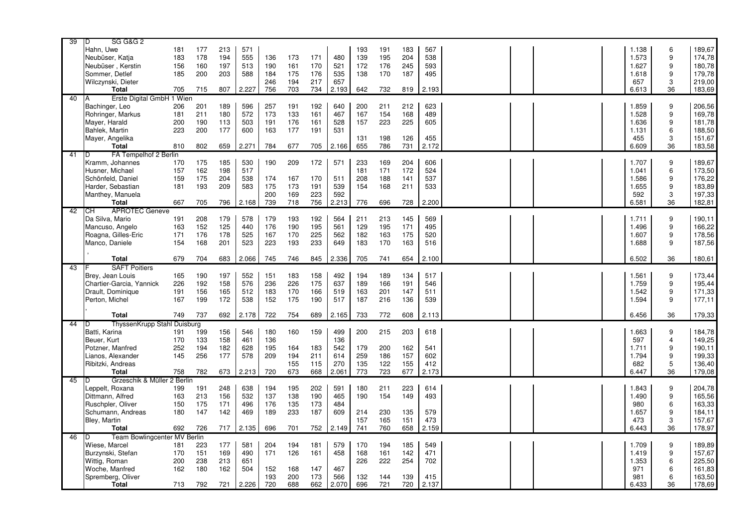| Hahn, Uwe<br>213<br>191<br>183<br>567<br>1.138<br>6<br>181<br>177<br>571<br>193<br>555<br>195<br>204<br>9<br>183<br>178<br>194<br>136<br>173<br>171<br>480<br>139<br>538<br>1.573<br>174,78<br>Neubüser, Katja<br>9<br>180,78<br>Neubüser, Kerstin<br>161<br>245<br>593<br>156<br>160<br>197<br>513<br>190<br>170<br>521<br>172<br>176<br>1.627<br>203<br>175<br>176<br>187<br>495<br>9<br>179,78<br>Sommer, Detlef<br>185<br>200<br>588<br>184<br>535<br>138<br>170<br>1.618<br>194<br>217<br>3<br>219,00<br>Wilczynski, Dieter<br>246<br>657<br>657<br>183,69<br><b>Total</b><br>807<br>2.227<br>756<br>703<br>734<br>2.193<br>642<br>732<br>819<br>2.193<br>6.613<br>36<br>705<br>715<br>Erste Digital GmbH 1 Wien<br>40<br>A<br>206,56<br>Bachinger, Leo<br>596<br>257<br>191<br>192<br>640<br>200<br>211<br>212<br>623<br>1.859<br>206<br>201<br>189<br>9<br>572<br>9<br>169,78<br>Rohringer, Markus<br>181<br>211<br>180<br>173<br>133<br>161<br>467<br>167<br>154<br>168<br>489<br>1.528<br>9<br>Mayer, Harald<br>200<br>190<br>503<br>191<br>176<br>161<br>528<br>157<br>223<br>225<br>605<br>1.636<br>181,78<br>113<br>6<br>223<br>200<br>177<br>177<br>191<br>188,50<br>Bahlek, Martin<br>600<br>163<br>531<br>1.131<br>3<br>151,67<br>Mayer, Angelika<br>198<br>126<br>455<br>455<br>131<br>731<br><b>Total</b><br>810<br>659<br>2.271<br>784<br>677<br>705<br>2.166<br>655<br>786<br>2.172<br>6.609<br>36<br>183,58<br>802<br>FA Tempelhof 2 Berlin<br>41<br>ID<br>189,67<br>Kramm, Johannes<br>170<br>175<br>185<br>530<br>190<br>209<br>172<br>571<br>233<br>169<br>204<br>606<br>1.707<br>9<br>172<br>524<br>6<br>173,50<br>Husner, Michael<br>157<br>162<br>198<br>517<br>181<br>171<br>1.041<br>537<br>9<br>Schönfeld, Daniel<br>159<br>175<br>204<br>538<br>174<br>167<br>170<br>511<br>208<br>188<br>141<br>1.586<br>176,22<br>9<br>183,89<br>209<br>173<br>211<br>533<br>Harder, Sebastian<br>181<br>193<br>583<br>175<br>191<br>539<br>154<br>168<br>1.655<br>200<br>169<br>223<br>592<br>592<br>3<br>197,33<br>Manthey, Manuela<br>667<br>796<br>2.168<br>739<br>718<br>756<br>2.213<br>776<br>728<br>2.200<br>6.581<br>36<br>182,81<br><b>Total</b><br>705<br>696<br><b>APROTEC Geneve</b><br>42<br>IСH<br>145<br>Da Silva, Mario<br>208<br>179<br>578<br>179<br>193<br>192<br>564<br>211<br>213<br>569<br>1.711<br>9<br>190.11<br>191<br>152<br>561<br>171<br>495<br>9<br>166,22<br>Mancuso, Angelo<br>163<br>125<br>440<br>176<br>190<br>195<br>129<br>195<br>1.496<br>9<br>178,56<br>Roagna, Gilles-Eric<br>171<br>176<br>178<br>525<br>167<br>170<br>225<br>562<br>182<br>163<br>175<br>520<br>1.607<br>233<br>Manco, Daniele<br>154<br>168<br>201<br>523<br>223<br>193<br>649<br>183<br>170<br>163<br>516<br>1.688<br>9<br>187,56<br>845<br>654<br>2.100<br>6.502<br>36<br><b>Total</b><br>679<br>704<br>683<br>2.066<br>745<br>2.336<br>705<br>180,61<br>746<br>741<br><b>SAFT Poitiers</b><br>43<br>552<br>183<br>492<br>189<br>134<br>517<br>Brey, Jean Louis<br>165<br>190<br>197<br>151<br>158<br>194<br>1.561<br>9<br>195,44<br>226<br>192<br>158<br>576<br>236<br>226<br>175<br>637<br>189<br>166<br>191<br>546<br>1.759<br>9<br>Chartier-Garcia, Yannick<br>170<br>147<br>1.542<br>9<br>171,33<br>Drault, Dominique<br>191<br>156<br>165<br>512<br>183<br>166<br>519<br>201<br>511<br>163<br>175<br>136<br>9<br>Perton, Michel<br>167<br>199<br>172<br>538<br>152<br>190<br>517<br>187<br>216<br>539<br>1.594<br>177,11<br>2.178<br>722<br>2.165<br>733<br>772<br>608<br>2.113<br>6.456<br>36<br>179,33<br><b>Total</b><br>749<br>737<br>692<br>754<br>689<br>ThyssenKrupp Stahl Duisburg<br>44<br>ID<br>Batti, Karina<br>546<br>160<br>159<br>499<br>200<br>215<br>203<br>184,78<br>191<br>199<br>156<br>180<br>618<br>1.663<br>9<br>149,25<br>Beuer, Kurt<br>170<br>158<br>461<br>136<br>136<br>597<br>$\overline{4}$<br>133<br>252<br>195<br>164<br>179<br>162<br>9<br>190,11<br>Potzner, Manfred<br>194<br>182<br>628<br>183<br>542<br>200<br>541<br>1.711<br>9<br>199,33<br>Lianos, Alexander<br>145<br>256<br>177<br>578<br>209<br>194<br>211<br>614<br>259<br>186<br>157<br>602<br>1.794<br>155<br>412<br>5<br>136,40<br>Ribitzki, Andreas<br>155<br>115<br>270<br>135<br>122<br>682<br>668<br>723<br>677<br>2.173<br><b>Total</b><br>758<br>782<br>673<br>2.213<br>720<br>673<br>2.061<br>773<br>6.447<br>36<br>179,08<br>Grzeschik & Müller 2 Berlin<br>45<br>ID<br>248<br>223<br>1.843<br>204,78<br>Leppelt, Roxana<br>199<br>191<br>638<br>194<br>195<br>202<br>591<br>180<br>211<br>614<br>9<br>9<br>Dittmann, Alfred<br>213<br>532<br>137<br>138<br>465<br>154<br>149<br>493<br>1.490<br>165,56<br>163<br>156<br>190<br>190<br>Ruschpler, Oliver<br>150<br>175<br>496<br>176<br>135<br>484<br>980<br>6<br>163,33<br>171<br>173<br>233<br>187<br>609<br>230<br>135<br>579<br>9<br>184,11<br>Schumann, Andreas<br>180<br>147<br>142<br>469<br>189<br>214<br>1.657<br>151<br>473<br>3<br>157,67<br>Bley, Martin<br>157<br>165<br>473<br>741<br>658<br>2.159<br>6.443<br>36<br>178,97<br><b>Total</b><br>692<br>2.135<br>696<br>701<br>752<br>2.149<br>760<br>726<br>717<br>Team Bowlingcenter MV Berlin<br>46<br>ID<br>189,89<br>Wiese, Marcel<br>223<br>177<br>581<br>204<br>194<br>181<br>579<br>170<br>194<br>185<br>549<br>1.709<br>9<br>181<br>9<br>Burzynski, Stefan<br>170<br>151<br>169<br>490<br>171<br>126<br>161<br>458<br>168<br>161<br>142<br>471<br>1.419<br>157,67<br>222<br>254<br>6<br>225,50<br>Wittig, Roman<br>200<br>238<br>213<br>226<br>702<br>1.353<br>651<br>162<br>6<br>161,83<br>Woche, Manfred<br>180<br>162<br>504<br>152<br>168<br>467<br>971<br>147<br>193<br>200<br>139<br>415<br>6<br>163,50<br>Spremberg, Oliver<br>173<br>566<br>132<br>144<br>981<br>720<br>721<br>178,69<br><b>Total</b><br>713<br>792<br>721<br>2.226<br>688<br>662<br>2.070<br>696<br>720<br>2.137<br>6.433<br>36 | 39 | <b>SG G&amp;G 2</b><br>D |  |  |  |  |  |  |  |  |        |
|------------------------------------------------------------------------------------------------------------------------------------------------------------------------------------------------------------------------------------------------------------------------------------------------------------------------------------------------------------------------------------------------------------------------------------------------------------------------------------------------------------------------------------------------------------------------------------------------------------------------------------------------------------------------------------------------------------------------------------------------------------------------------------------------------------------------------------------------------------------------------------------------------------------------------------------------------------------------------------------------------------------------------------------------------------------------------------------------------------------------------------------------------------------------------------------------------------------------------------------------------------------------------------------------------------------------------------------------------------------------------------------------------------------------------------------------------------------------------------------------------------------------------------------------------------------------------------------------------------------------------------------------------------------------------------------------------------------------------------------------------------------------------------------------------------------------------------------------------------------------------------------------------------------------------------------------------------------------------------------------------------------------------------------------------------------------------------------------------------------------------------------------------------------------------------------------------------------------------------------------------------------------------------------------------------------------------------------------------------------------------------------------------------------------------------------------------------------------------------------------------------------------------------------------------------------------------------------------------------------------------------------------------------------------------------------------------------------------------------------------------------------------------------------------------------------------------------------------------------------------------------------------------------------------------------------------------------------------------------------------------------------------------------------------------------------------------------------------------------------------------------------------------------------------------------------------------------------------------------------------------------------------------------------------------------------------------------------------------------------------------------------------------------------------------------------------------------------------------------------------------------------------------------------------------------------------------------------------------------------------------------------------------------------------------------------------------------------------------------------------------------------------------------------------------------------------------------------------------------------------------------------------------------------------------------------------------------------------------------------------------------------------------------------------------------------------------------------------------------------------------------------------------------------------------------------------------------------------------------------------------------------------------------------------------------------------------------------------------------------------------------------------------------------------------------------------------------------------------------------------------------------------------------------------------------------------------------------------------------------------------------------------------------------------------------------------------------------------------------------------------------------------------------------------------------------------------------------------------------------------------------------------------------------------------------------------------------------------------------------------------------------------------------------------------------------------------------------------------------------------------------------------------------------------------------------------------------------------------------------------------------------------------------------------------------------------------------------------------------------------------------------------------------------------------------------------------------------------------------------------------------------------------------------------------------------------------------------------------------------------------------------------------------------------------------------------------------------------------------------------------------------------------------------------------------------------------------------------------------------------|----|--------------------------|--|--|--|--|--|--|--|--|--------|
|                                                                                                                                                                                                                                                                                                                                                                                                                                                                                                                                                                                                                                                                                                                                                                                                                                                                                                                                                                                                                                                                                                                                                                                                                                                                                                                                                                                                                                                                                                                                                                                                                                                                                                                                                                                                                                                                                                                                                                                                                                                                                                                                                                                                                                                                                                                                                                                                                                                                                                                                                                                                                                                                                                                                                                                                                                                                                                                                                                                                                                                                                                                                                                                                                                                                                                                                                                                                                                                                                                                                                                                                                                                                                                                                                                                                                                                                                                                                                                                                                                                                                                                                                                                                                                                                                                                                                                                                                                                                                                                                                                                                                                                                                                                                                                                                                                                                                                                                                                                                                                                                                                                                                                                                                                                                                                                                                                                                                                                                                                                                                                                                                                                                                                                                                                                                                                                                        |    |                          |  |  |  |  |  |  |  |  | 189,67 |
| 173,44                                                                                                                                                                                                                                                                                                                                                                                                                                                                                                                                                                                                                                                                                                                                                                                                                                                                                                                                                                                                                                                                                                                                                                                                                                                                                                                                                                                                                                                                                                                                                                                                                                                                                                                                                                                                                                                                                                                                                                                                                                                                                                                                                                                                                                                                                                                                                                                                                                                                                                                                                                                                                                                                                                                                                                                                                                                                                                                                                                                                                                                                                                                                                                                                                                                                                                                                                                                                                                                                                                                                                                                                                                                                                                                                                                                                                                                                                                                                                                                                                                                                                                                                                                                                                                                                                                                                                                                                                                                                                                                                                                                                                                                                                                                                                                                                                                                                                                                                                                                                                                                                                                                                                                                                                                                                                                                                                                                                                                                                                                                                                                                                                                                                                                                                                                                                                                                                 |    |                          |  |  |  |  |  |  |  |  |        |
|                                                                                                                                                                                                                                                                                                                                                                                                                                                                                                                                                                                                                                                                                                                                                                                                                                                                                                                                                                                                                                                                                                                                                                                                                                                                                                                                                                                                                                                                                                                                                                                                                                                                                                                                                                                                                                                                                                                                                                                                                                                                                                                                                                                                                                                                                                                                                                                                                                                                                                                                                                                                                                                                                                                                                                                                                                                                                                                                                                                                                                                                                                                                                                                                                                                                                                                                                                                                                                                                                                                                                                                                                                                                                                                                                                                                                                                                                                                                                                                                                                                                                                                                                                                                                                                                                                                                                                                                                                                                                                                                                                                                                                                                                                                                                                                                                                                                                                                                                                                                                                                                                                                                                                                                                                                                                                                                                                                                                                                                                                                                                                                                                                                                                                                                                                                                                                                                        |    |                          |  |  |  |  |  |  |  |  |        |
|                                                                                                                                                                                                                                                                                                                                                                                                                                                                                                                                                                                                                                                                                                                                                                                                                                                                                                                                                                                                                                                                                                                                                                                                                                                                                                                                                                                                                                                                                                                                                                                                                                                                                                                                                                                                                                                                                                                                                                                                                                                                                                                                                                                                                                                                                                                                                                                                                                                                                                                                                                                                                                                                                                                                                                                                                                                                                                                                                                                                                                                                                                                                                                                                                                                                                                                                                                                                                                                                                                                                                                                                                                                                                                                                                                                                                                                                                                                                                                                                                                                                                                                                                                                                                                                                                                                                                                                                                                                                                                                                                                                                                                                                                                                                                                                                                                                                                                                                                                                                                                                                                                                                                                                                                                                                                                                                                                                                                                                                                                                                                                                                                                                                                                                                                                                                                                                                        |    |                          |  |  |  |  |  |  |  |  |        |
|                                                                                                                                                                                                                                                                                                                                                                                                                                                                                                                                                                                                                                                                                                                                                                                                                                                                                                                                                                                                                                                                                                                                                                                                                                                                                                                                                                                                                                                                                                                                                                                                                                                                                                                                                                                                                                                                                                                                                                                                                                                                                                                                                                                                                                                                                                                                                                                                                                                                                                                                                                                                                                                                                                                                                                                                                                                                                                                                                                                                                                                                                                                                                                                                                                                                                                                                                                                                                                                                                                                                                                                                                                                                                                                                                                                                                                                                                                                                                                                                                                                                                                                                                                                                                                                                                                                                                                                                                                                                                                                                                                                                                                                                                                                                                                                                                                                                                                                                                                                                                                                                                                                                                                                                                                                                                                                                                                                                                                                                                                                                                                                                                                                                                                                                                                                                                                                                        |    |                          |  |  |  |  |  |  |  |  |        |
|                                                                                                                                                                                                                                                                                                                                                                                                                                                                                                                                                                                                                                                                                                                                                                                                                                                                                                                                                                                                                                                                                                                                                                                                                                                                                                                                                                                                                                                                                                                                                                                                                                                                                                                                                                                                                                                                                                                                                                                                                                                                                                                                                                                                                                                                                                                                                                                                                                                                                                                                                                                                                                                                                                                                                                                                                                                                                                                                                                                                                                                                                                                                                                                                                                                                                                                                                                                                                                                                                                                                                                                                                                                                                                                                                                                                                                                                                                                                                                                                                                                                                                                                                                                                                                                                                                                                                                                                                                                                                                                                                                                                                                                                                                                                                                                                                                                                                                                                                                                                                                                                                                                                                                                                                                                                                                                                                                                                                                                                                                                                                                                                                                                                                                                                                                                                                                                                        |    |                          |  |  |  |  |  |  |  |  |        |
|                                                                                                                                                                                                                                                                                                                                                                                                                                                                                                                                                                                                                                                                                                                                                                                                                                                                                                                                                                                                                                                                                                                                                                                                                                                                                                                                                                                                                                                                                                                                                                                                                                                                                                                                                                                                                                                                                                                                                                                                                                                                                                                                                                                                                                                                                                                                                                                                                                                                                                                                                                                                                                                                                                                                                                                                                                                                                                                                                                                                                                                                                                                                                                                                                                                                                                                                                                                                                                                                                                                                                                                                                                                                                                                                                                                                                                                                                                                                                                                                                                                                                                                                                                                                                                                                                                                                                                                                                                                                                                                                                                                                                                                                                                                                                                                                                                                                                                                                                                                                                                                                                                                                                                                                                                                                                                                                                                                                                                                                                                                                                                                                                                                                                                                                                                                                                                                                        |    |                          |  |  |  |  |  |  |  |  |        |
|                                                                                                                                                                                                                                                                                                                                                                                                                                                                                                                                                                                                                                                                                                                                                                                                                                                                                                                                                                                                                                                                                                                                                                                                                                                                                                                                                                                                                                                                                                                                                                                                                                                                                                                                                                                                                                                                                                                                                                                                                                                                                                                                                                                                                                                                                                                                                                                                                                                                                                                                                                                                                                                                                                                                                                                                                                                                                                                                                                                                                                                                                                                                                                                                                                                                                                                                                                                                                                                                                                                                                                                                                                                                                                                                                                                                                                                                                                                                                                                                                                                                                                                                                                                                                                                                                                                                                                                                                                                                                                                                                                                                                                                                                                                                                                                                                                                                                                                                                                                                                                                                                                                                                                                                                                                                                                                                                                                                                                                                                                                                                                                                                                                                                                                                                                                                                                                                        |    |                          |  |  |  |  |  |  |  |  |        |
|                                                                                                                                                                                                                                                                                                                                                                                                                                                                                                                                                                                                                                                                                                                                                                                                                                                                                                                                                                                                                                                                                                                                                                                                                                                                                                                                                                                                                                                                                                                                                                                                                                                                                                                                                                                                                                                                                                                                                                                                                                                                                                                                                                                                                                                                                                                                                                                                                                                                                                                                                                                                                                                                                                                                                                                                                                                                                                                                                                                                                                                                                                                                                                                                                                                                                                                                                                                                                                                                                                                                                                                                                                                                                                                                                                                                                                                                                                                                                                                                                                                                                                                                                                                                                                                                                                                                                                                                                                                                                                                                                                                                                                                                                                                                                                                                                                                                                                                                                                                                                                                                                                                                                                                                                                                                                                                                                                                                                                                                                                                                                                                                                                                                                                                                                                                                                                                                        |    |                          |  |  |  |  |  |  |  |  |        |
|                                                                                                                                                                                                                                                                                                                                                                                                                                                                                                                                                                                                                                                                                                                                                                                                                                                                                                                                                                                                                                                                                                                                                                                                                                                                                                                                                                                                                                                                                                                                                                                                                                                                                                                                                                                                                                                                                                                                                                                                                                                                                                                                                                                                                                                                                                                                                                                                                                                                                                                                                                                                                                                                                                                                                                                                                                                                                                                                                                                                                                                                                                                                                                                                                                                                                                                                                                                                                                                                                                                                                                                                                                                                                                                                                                                                                                                                                                                                                                                                                                                                                                                                                                                                                                                                                                                                                                                                                                                                                                                                                                                                                                                                                                                                                                                                                                                                                                                                                                                                                                                                                                                                                                                                                                                                                                                                                                                                                                                                                                                                                                                                                                                                                                                                                                                                                                                                        |    |                          |  |  |  |  |  |  |  |  |        |
|                                                                                                                                                                                                                                                                                                                                                                                                                                                                                                                                                                                                                                                                                                                                                                                                                                                                                                                                                                                                                                                                                                                                                                                                                                                                                                                                                                                                                                                                                                                                                                                                                                                                                                                                                                                                                                                                                                                                                                                                                                                                                                                                                                                                                                                                                                                                                                                                                                                                                                                                                                                                                                                                                                                                                                                                                                                                                                                                                                                                                                                                                                                                                                                                                                                                                                                                                                                                                                                                                                                                                                                                                                                                                                                                                                                                                                                                                                                                                                                                                                                                                                                                                                                                                                                                                                                                                                                                                                                                                                                                                                                                                                                                                                                                                                                                                                                                                                                                                                                                                                                                                                                                                                                                                                                                                                                                                                                                                                                                                                                                                                                                                                                                                                                                                                                                                                                                        |    |                          |  |  |  |  |  |  |  |  |        |
|                                                                                                                                                                                                                                                                                                                                                                                                                                                                                                                                                                                                                                                                                                                                                                                                                                                                                                                                                                                                                                                                                                                                                                                                                                                                                                                                                                                                                                                                                                                                                                                                                                                                                                                                                                                                                                                                                                                                                                                                                                                                                                                                                                                                                                                                                                                                                                                                                                                                                                                                                                                                                                                                                                                                                                                                                                                                                                                                                                                                                                                                                                                                                                                                                                                                                                                                                                                                                                                                                                                                                                                                                                                                                                                                                                                                                                                                                                                                                                                                                                                                                                                                                                                                                                                                                                                                                                                                                                                                                                                                                                                                                                                                                                                                                                                                                                                                                                                                                                                                                                                                                                                                                                                                                                                                                                                                                                                                                                                                                                                                                                                                                                                                                                                                                                                                                                                                        |    |                          |  |  |  |  |  |  |  |  |        |
|                                                                                                                                                                                                                                                                                                                                                                                                                                                                                                                                                                                                                                                                                                                                                                                                                                                                                                                                                                                                                                                                                                                                                                                                                                                                                                                                                                                                                                                                                                                                                                                                                                                                                                                                                                                                                                                                                                                                                                                                                                                                                                                                                                                                                                                                                                                                                                                                                                                                                                                                                                                                                                                                                                                                                                                                                                                                                                                                                                                                                                                                                                                                                                                                                                                                                                                                                                                                                                                                                                                                                                                                                                                                                                                                                                                                                                                                                                                                                                                                                                                                                                                                                                                                                                                                                                                                                                                                                                                                                                                                                                                                                                                                                                                                                                                                                                                                                                                                                                                                                                                                                                                                                                                                                                                                                                                                                                                                                                                                                                                                                                                                                                                                                                                                                                                                                                                                        |    |                          |  |  |  |  |  |  |  |  |        |
|                                                                                                                                                                                                                                                                                                                                                                                                                                                                                                                                                                                                                                                                                                                                                                                                                                                                                                                                                                                                                                                                                                                                                                                                                                                                                                                                                                                                                                                                                                                                                                                                                                                                                                                                                                                                                                                                                                                                                                                                                                                                                                                                                                                                                                                                                                                                                                                                                                                                                                                                                                                                                                                                                                                                                                                                                                                                                                                                                                                                                                                                                                                                                                                                                                                                                                                                                                                                                                                                                                                                                                                                                                                                                                                                                                                                                                                                                                                                                                                                                                                                                                                                                                                                                                                                                                                                                                                                                                                                                                                                                                                                                                                                                                                                                                                                                                                                                                                                                                                                                                                                                                                                                                                                                                                                                                                                                                                                                                                                                                                                                                                                                                                                                                                                                                                                                                                                        |    |                          |  |  |  |  |  |  |  |  |        |
|                                                                                                                                                                                                                                                                                                                                                                                                                                                                                                                                                                                                                                                                                                                                                                                                                                                                                                                                                                                                                                                                                                                                                                                                                                                                                                                                                                                                                                                                                                                                                                                                                                                                                                                                                                                                                                                                                                                                                                                                                                                                                                                                                                                                                                                                                                                                                                                                                                                                                                                                                                                                                                                                                                                                                                                                                                                                                                                                                                                                                                                                                                                                                                                                                                                                                                                                                                                                                                                                                                                                                                                                                                                                                                                                                                                                                                                                                                                                                                                                                                                                                                                                                                                                                                                                                                                                                                                                                                                                                                                                                                                                                                                                                                                                                                                                                                                                                                                                                                                                                                                                                                                                                                                                                                                                                                                                                                                                                                                                                                                                                                                                                                                                                                                                                                                                                                                                        |    |                          |  |  |  |  |  |  |  |  |        |
|                                                                                                                                                                                                                                                                                                                                                                                                                                                                                                                                                                                                                                                                                                                                                                                                                                                                                                                                                                                                                                                                                                                                                                                                                                                                                                                                                                                                                                                                                                                                                                                                                                                                                                                                                                                                                                                                                                                                                                                                                                                                                                                                                                                                                                                                                                                                                                                                                                                                                                                                                                                                                                                                                                                                                                                                                                                                                                                                                                                                                                                                                                                                                                                                                                                                                                                                                                                                                                                                                                                                                                                                                                                                                                                                                                                                                                                                                                                                                                                                                                                                                                                                                                                                                                                                                                                                                                                                                                                                                                                                                                                                                                                                                                                                                                                                                                                                                                                                                                                                                                                                                                                                                                                                                                                                                                                                                                                                                                                                                                                                                                                                                                                                                                                                                                                                                                                                        |    |                          |  |  |  |  |  |  |  |  |        |
|                                                                                                                                                                                                                                                                                                                                                                                                                                                                                                                                                                                                                                                                                                                                                                                                                                                                                                                                                                                                                                                                                                                                                                                                                                                                                                                                                                                                                                                                                                                                                                                                                                                                                                                                                                                                                                                                                                                                                                                                                                                                                                                                                                                                                                                                                                                                                                                                                                                                                                                                                                                                                                                                                                                                                                                                                                                                                                                                                                                                                                                                                                                                                                                                                                                                                                                                                                                                                                                                                                                                                                                                                                                                                                                                                                                                                                                                                                                                                                                                                                                                                                                                                                                                                                                                                                                                                                                                                                                                                                                                                                                                                                                                                                                                                                                                                                                                                                                                                                                                                                                                                                                                                                                                                                                                                                                                                                                                                                                                                                                                                                                                                                                                                                                                                                                                                                                                        |    |                          |  |  |  |  |  |  |  |  |        |
|                                                                                                                                                                                                                                                                                                                                                                                                                                                                                                                                                                                                                                                                                                                                                                                                                                                                                                                                                                                                                                                                                                                                                                                                                                                                                                                                                                                                                                                                                                                                                                                                                                                                                                                                                                                                                                                                                                                                                                                                                                                                                                                                                                                                                                                                                                                                                                                                                                                                                                                                                                                                                                                                                                                                                                                                                                                                                                                                                                                                                                                                                                                                                                                                                                                                                                                                                                                                                                                                                                                                                                                                                                                                                                                                                                                                                                                                                                                                                                                                                                                                                                                                                                                                                                                                                                                                                                                                                                                                                                                                                                                                                                                                                                                                                                                                                                                                                                                                                                                                                                                                                                                                                                                                                                                                                                                                                                                                                                                                                                                                                                                                                                                                                                                                                                                                                                                                        |    |                          |  |  |  |  |  |  |  |  |        |
|                                                                                                                                                                                                                                                                                                                                                                                                                                                                                                                                                                                                                                                                                                                                                                                                                                                                                                                                                                                                                                                                                                                                                                                                                                                                                                                                                                                                                                                                                                                                                                                                                                                                                                                                                                                                                                                                                                                                                                                                                                                                                                                                                                                                                                                                                                                                                                                                                                                                                                                                                                                                                                                                                                                                                                                                                                                                                                                                                                                                                                                                                                                                                                                                                                                                                                                                                                                                                                                                                                                                                                                                                                                                                                                                                                                                                                                                                                                                                                                                                                                                                                                                                                                                                                                                                                                                                                                                                                                                                                                                                                                                                                                                                                                                                                                                                                                                                                                                                                                                                                                                                                                                                                                                                                                                                                                                                                                                                                                                                                                                                                                                                                                                                                                                                                                                                                                                        |    |                          |  |  |  |  |  |  |  |  |        |
|                                                                                                                                                                                                                                                                                                                                                                                                                                                                                                                                                                                                                                                                                                                                                                                                                                                                                                                                                                                                                                                                                                                                                                                                                                                                                                                                                                                                                                                                                                                                                                                                                                                                                                                                                                                                                                                                                                                                                                                                                                                                                                                                                                                                                                                                                                                                                                                                                                                                                                                                                                                                                                                                                                                                                                                                                                                                                                                                                                                                                                                                                                                                                                                                                                                                                                                                                                                                                                                                                                                                                                                                                                                                                                                                                                                                                                                                                                                                                                                                                                                                                                                                                                                                                                                                                                                                                                                                                                                                                                                                                                                                                                                                                                                                                                                                                                                                                                                                                                                                                                                                                                                                                                                                                                                                                                                                                                                                                                                                                                                                                                                                                                                                                                                                                                                                                                                                        |    |                          |  |  |  |  |  |  |  |  |        |
|                                                                                                                                                                                                                                                                                                                                                                                                                                                                                                                                                                                                                                                                                                                                                                                                                                                                                                                                                                                                                                                                                                                                                                                                                                                                                                                                                                                                                                                                                                                                                                                                                                                                                                                                                                                                                                                                                                                                                                                                                                                                                                                                                                                                                                                                                                                                                                                                                                                                                                                                                                                                                                                                                                                                                                                                                                                                                                                                                                                                                                                                                                                                                                                                                                                                                                                                                                                                                                                                                                                                                                                                                                                                                                                                                                                                                                                                                                                                                                                                                                                                                                                                                                                                                                                                                                                                                                                                                                                                                                                                                                                                                                                                                                                                                                                                                                                                                                                                                                                                                                                                                                                                                                                                                                                                                                                                                                                                                                                                                                                                                                                                                                                                                                                                                                                                                                                                        |    |                          |  |  |  |  |  |  |  |  |        |
|                                                                                                                                                                                                                                                                                                                                                                                                                                                                                                                                                                                                                                                                                                                                                                                                                                                                                                                                                                                                                                                                                                                                                                                                                                                                                                                                                                                                                                                                                                                                                                                                                                                                                                                                                                                                                                                                                                                                                                                                                                                                                                                                                                                                                                                                                                                                                                                                                                                                                                                                                                                                                                                                                                                                                                                                                                                                                                                                                                                                                                                                                                                                                                                                                                                                                                                                                                                                                                                                                                                                                                                                                                                                                                                                                                                                                                                                                                                                                                                                                                                                                                                                                                                                                                                                                                                                                                                                                                                                                                                                                                                                                                                                                                                                                                                                                                                                                                                                                                                                                                                                                                                                                                                                                                                                                                                                                                                                                                                                                                                                                                                                                                                                                                                                                                                                                                                                        |    |                          |  |  |  |  |  |  |  |  |        |
|                                                                                                                                                                                                                                                                                                                                                                                                                                                                                                                                                                                                                                                                                                                                                                                                                                                                                                                                                                                                                                                                                                                                                                                                                                                                                                                                                                                                                                                                                                                                                                                                                                                                                                                                                                                                                                                                                                                                                                                                                                                                                                                                                                                                                                                                                                                                                                                                                                                                                                                                                                                                                                                                                                                                                                                                                                                                                                                                                                                                                                                                                                                                                                                                                                                                                                                                                                                                                                                                                                                                                                                                                                                                                                                                                                                                                                                                                                                                                                                                                                                                                                                                                                                                                                                                                                                                                                                                                                                                                                                                                                                                                                                                                                                                                                                                                                                                                                                                                                                                                                                                                                                                                                                                                                                                                                                                                                                                                                                                                                                                                                                                                                                                                                                                                                                                                                                                        |    |                          |  |  |  |  |  |  |  |  |        |
|                                                                                                                                                                                                                                                                                                                                                                                                                                                                                                                                                                                                                                                                                                                                                                                                                                                                                                                                                                                                                                                                                                                                                                                                                                                                                                                                                                                                                                                                                                                                                                                                                                                                                                                                                                                                                                                                                                                                                                                                                                                                                                                                                                                                                                                                                                                                                                                                                                                                                                                                                                                                                                                                                                                                                                                                                                                                                                                                                                                                                                                                                                                                                                                                                                                                                                                                                                                                                                                                                                                                                                                                                                                                                                                                                                                                                                                                                                                                                                                                                                                                                                                                                                                                                                                                                                                                                                                                                                                                                                                                                                                                                                                                                                                                                                                                                                                                                                                                                                                                                                                                                                                                                                                                                                                                                                                                                                                                                                                                                                                                                                                                                                                                                                                                                                                                                                                                        |    |                          |  |  |  |  |  |  |  |  |        |
|                                                                                                                                                                                                                                                                                                                                                                                                                                                                                                                                                                                                                                                                                                                                                                                                                                                                                                                                                                                                                                                                                                                                                                                                                                                                                                                                                                                                                                                                                                                                                                                                                                                                                                                                                                                                                                                                                                                                                                                                                                                                                                                                                                                                                                                                                                                                                                                                                                                                                                                                                                                                                                                                                                                                                                                                                                                                                                                                                                                                                                                                                                                                                                                                                                                                                                                                                                                                                                                                                                                                                                                                                                                                                                                                                                                                                                                                                                                                                                                                                                                                                                                                                                                                                                                                                                                                                                                                                                                                                                                                                                                                                                                                                                                                                                                                                                                                                                                                                                                                                                                                                                                                                                                                                                                                                                                                                                                                                                                                                                                                                                                                                                                                                                                                                                                                                                                                        |    |                          |  |  |  |  |  |  |  |  |        |
|                                                                                                                                                                                                                                                                                                                                                                                                                                                                                                                                                                                                                                                                                                                                                                                                                                                                                                                                                                                                                                                                                                                                                                                                                                                                                                                                                                                                                                                                                                                                                                                                                                                                                                                                                                                                                                                                                                                                                                                                                                                                                                                                                                                                                                                                                                                                                                                                                                                                                                                                                                                                                                                                                                                                                                                                                                                                                                                                                                                                                                                                                                                                                                                                                                                                                                                                                                                                                                                                                                                                                                                                                                                                                                                                                                                                                                                                                                                                                                                                                                                                                                                                                                                                                                                                                                                                                                                                                                                                                                                                                                                                                                                                                                                                                                                                                                                                                                                                                                                                                                                                                                                                                                                                                                                                                                                                                                                                                                                                                                                                                                                                                                                                                                                                                                                                                                                                        |    |                          |  |  |  |  |  |  |  |  |        |
|                                                                                                                                                                                                                                                                                                                                                                                                                                                                                                                                                                                                                                                                                                                                                                                                                                                                                                                                                                                                                                                                                                                                                                                                                                                                                                                                                                                                                                                                                                                                                                                                                                                                                                                                                                                                                                                                                                                                                                                                                                                                                                                                                                                                                                                                                                                                                                                                                                                                                                                                                                                                                                                                                                                                                                                                                                                                                                                                                                                                                                                                                                                                                                                                                                                                                                                                                                                                                                                                                                                                                                                                                                                                                                                                                                                                                                                                                                                                                                                                                                                                                                                                                                                                                                                                                                                                                                                                                                                                                                                                                                                                                                                                                                                                                                                                                                                                                                                                                                                                                                                                                                                                                                                                                                                                                                                                                                                                                                                                                                                                                                                                                                                                                                                                                                                                                                                                        |    |                          |  |  |  |  |  |  |  |  |        |
|                                                                                                                                                                                                                                                                                                                                                                                                                                                                                                                                                                                                                                                                                                                                                                                                                                                                                                                                                                                                                                                                                                                                                                                                                                                                                                                                                                                                                                                                                                                                                                                                                                                                                                                                                                                                                                                                                                                                                                                                                                                                                                                                                                                                                                                                                                                                                                                                                                                                                                                                                                                                                                                                                                                                                                                                                                                                                                                                                                                                                                                                                                                                                                                                                                                                                                                                                                                                                                                                                                                                                                                                                                                                                                                                                                                                                                                                                                                                                                                                                                                                                                                                                                                                                                                                                                                                                                                                                                                                                                                                                                                                                                                                                                                                                                                                                                                                                                                                                                                                                                                                                                                                                                                                                                                                                                                                                                                                                                                                                                                                                                                                                                                                                                                                                                                                                                                                        |    |                          |  |  |  |  |  |  |  |  |        |
|                                                                                                                                                                                                                                                                                                                                                                                                                                                                                                                                                                                                                                                                                                                                                                                                                                                                                                                                                                                                                                                                                                                                                                                                                                                                                                                                                                                                                                                                                                                                                                                                                                                                                                                                                                                                                                                                                                                                                                                                                                                                                                                                                                                                                                                                                                                                                                                                                                                                                                                                                                                                                                                                                                                                                                                                                                                                                                                                                                                                                                                                                                                                                                                                                                                                                                                                                                                                                                                                                                                                                                                                                                                                                                                                                                                                                                                                                                                                                                                                                                                                                                                                                                                                                                                                                                                                                                                                                                                                                                                                                                                                                                                                                                                                                                                                                                                                                                                                                                                                                                                                                                                                                                                                                                                                                                                                                                                                                                                                                                                                                                                                                                                                                                                                                                                                                                                                        |    |                          |  |  |  |  |  |  |  |  |        |
|                                                                                                                                                                                                                                                                                                                                                                                                                                                                                                                                                                                                                                                                                                                                                                                                                                                                                                                                                                                                                                                                                                                                                                                                                                                                                                                                                                                                                                                                                                                                                                                                                                                                                                                                                                                                                                                                                                                                                                                                                                                                                                                                                                                                                                                                                                                                                                                                                                                                                                                                                                                                                                                                                                                                                                                                                                                                                                                                                                                                                                                                                                                                                                                                                                                                                                                                                                                                                                                                                                                                                                                                                                                                                                                                                                                                                                                                                                                                                                                                                                                                                                                                                                                                                                                                                                                                                                                                                                                                                                                                                                                                                                                                                                                                                                                                                                                                                                                                                                                                                                                                                                                                                                                                                                                                                                                                                                                                                                                                                                                                                                                                                                                                                                                                                                                                                                                                        |    |                          |  |  |  |  |  |  |  |  |        |
|                                                                                                                                                                                                                                                                                                                                                                                                                                                                                                                                                                                                                                                                                                                                                                                                                                                                                                                                                                                                                                                                                                                                                                                                                                                                                                                                                                                                                                                                                                                                                                                                                                                                                                                                                                                                                                                                                                                                                                                                                                                                                                                                                                                                                                                                                                                                                                                                                                                                                                                                                                                                                                                                                                                                                                                                                                                                                                                                                                                                                                                                                                                                                                                                                                                                                                                                                                                                                                                                                                                                                                                                                                                                                                                                                                                                                                                                                                                                                                                                                                                                                                                                                                                                                                                                                                                                                                                                                                                                                                                                                                                                                                                                                                                                                                                                                                                                                                                                                                                                                                                                                                                                                                                                                                                                                                                                                                                                                                                                                                                                                                                                                                                                                                                                                                                                                                                                        |    |                          |  |  |  |  |  |  |  |  |        |
|                                                                                                                                                                                                                                                                                                                                                                                                                                                                                                                                                                                                                                                                                                                                                                                                                                                                                                                                                                                                                                                                                                                                                                                                                                                                                                                                                                                                                                                                                                                                                                                                                                                                                                                                                                                                                                                                                                                                                                                                                                                                                                                                                                                                                                                                                                                                                                                                                                                                                                                                                                                                                                                                                                                                                                                                                                                                                                                                                                                                                                                                                                                                                                                                                                                                                                                                                                                                                                                                                                                                                                                                                                                                                                                                                                                                                                                                                                                                                                                                                                                                                                                                                                                                                                                                                                                                                                                                                                                                                                                                                                                                                                                                                                                                                                                                                                                                                                                                                                                                                                                                                                                                                                                                                                                                                                                                                                                                                                                                                                                                                                                                                                                                                                                                                                                                                                                                        |    |                          |  |  |  |  |  |  |  |  |        |
|                                                                                                                                                                                                                                                                                                                                                                                                                                                                                                                                                                                                                                                                                                                                                                                                                                                                                                                                                                                                                                                                                                                                                                                                                                                                                                                                                                                                                                                                                                                                                                                                                                                                                                                                                                                                                                                                                                                                                                                                                                                                                                                                                                                                                                                                                                                                                                                                                                                                                                                                                                                                                                                                                                                                                                                                                                                                                                                                                                                                                                                                                                                                                                                                                                                                                                                                                                                                                                                                                                                                                                                                                                                                                                                                                                                                                                                                                                                                                                                                                                                                                                                                                                                                                                                                                                                                                                                                                                                                                                                                                                                                                                                                                                                                                                                                                                                                                                                                                                                                                                                                                                                                                                                                                                                                                                                                                                                                                                                                                                                                                                                                                                                                                                                                                                                                                                                                        |    |                          |  |  |  |  |  |  |  |  |        |
|                                                                                                                                                                                                                                                                                                                                                                                                                                                                                                                                                                                                                                                                                                                                                                                                                                                                                                                                                                                                                                                                                                                                                                                                                                                                                                                                                                                                                                                                                                                                                                                                                                                                                                                                                                                                                                                                                                                                                                                                                                                                                                                                                                                                                                                                                                                                                                                                                                                                                                                                                                                                                                                                                                                                                                                                                                                                                                                                                                                                                                                                                                                                                                                                                                                                                                                                                                                                                                                                                                                                                                                                                                                                                                                                                                                                                                                                                                                                                                                                                                                                                                                                                                                                                                                                                                                                                                                                                                                                                                                                                                                                                                                                                                                                                                                                                                                                                                                                                                                                                                                                                                                                                                                                                                                                                                                                                                                                                                                                                                                                                                                                                                                                                                                                                                                                                                                                        |    |                          |  |  |  |  |  |  |  |  |        |
|                                                                                                                                                                                                                                                                                                                                                                                                                                                                                                                                                                                                                                                                                                                                                                                                                                                                                                                                                                                                                                                                                                                                                                                                                                                                                                                                                                                                                                                                                                                                                                                                                                                                                                                                                                                                                                                                                                                                                                                                                                                                                                                                                                                                                                                                                                                                                                                                                                                                                                                                                                                                                                                                                                                                                                                                                                                                                                                                                                                                                                                                                                                                                                                                                                                                                                                                                                                                                                                                                                                                                                                                                                                                                                                                                                                                                                                                                                                                                                                                                                                                                                                                                                                                                                                                                                                                                                                                                                                                                                                                                                                                                                                                                                                                                                                                                                                                                                                                                                                                                                                                                                                                                                                                                                                                                                                                                                                                                                                                                                                                                                                                                                                                                                                                                                                                                                                                        |    |                          |  |  |  |  |  |  |  |  |        |
|                                                                                                                                                                                                                                                                                                                                                                                                                                                                                                                                                                                                                                                                                                                                                                                                                                                                                                                                                                                                                                                                                                                                                                                                                                                                                                                                                                                                                                                                                                                                                                                                                                                                                                                                                                                                                                                                                                                                                                                                                                                                                                                                                                                                                                                                                                                                                                                                                                                                                                                                                                                                                                                                                                                                                                                                                                                                                                                                                                                                                                                                                                                                                                                                                                                                                                                                                                                                                                                                                                                                                                                                                                                                                                                                                                                                                                                                                                                                                                                                                                                                                                                                                                                                                                                                                                                                                                                                                                                                                                                                                                                                                                                                                                                                                                                                                                                                                                                                                                                                                                                                                                                                                                                                                                                                                                                                                                                                                                                                                                                                                                                                                                                                                                                                                                                                                                                                        |    |                          |  |  |  |  |  |  |  |  |        |
|                                                                                                                                                                                                                                                                                                                                                                                                                                                                                                                                                                                                                                                                                                                                                                                                                                                                                                                                                                                                                                                                                                                                                                                                                                                                                                                                                                                                                                                                                                                                                                                                                                                                                                                                                                                                                                                                                                                                                                                                                                                                                                                                                                                                                                                                                                                                                                                                                                                                                                                                                                                                                                                                                                                                                                                                                                                                                                                                                                                                                                                                                                                                                                                                                                                                                                                                                                                                                                                                                                                                                                                                                                                                                                                                                                                                                                                                                                                                                                                                                                                                                                                                                                                                                                                                                                                                                                                                                                                                                                                                                                                                                                                                                                                                                                                                                                                                                                                                                                                                                                                                                                                                                                                                                                                                                                                                                                                                                                                                                                                                                                                                                                                                                                                                                                                                                                                                        |    |                          |  |  |  |  |  |  |  |  |        |
|                                                                                                                                                                                                                                                                                                                                                                                                                                                                                                                                                                                                                                                                                                                                                                                                                                                                                                                                                                                                                                                                                                                                                                                                                                                                                                                                                                                                                                                                                                                                                                                                                                                                                                                                                                                                                                                                                                                                                                                                                                                                                                                                                                                                                                                                                                                                                                                                                                                                                                                                                                                                                                                                                                                                                                                                                                                                                                                                                                                                                                                                                                                                                                                                                                                                                                                                                                                                                                                                                                                                                                                                                                                                                                                                                                                                                                                                                                                                                                                                                                                                                                                                                                                                                                                                                                                                                                                                                                                                                                                                                                                                                                                                                                                                                                                                                                                                                                                                                                                                                                                                                                                                                                                                                                                                                                                                                                                                                                                                                                                                                                                                                                                                                                                                                                                                                                                                        |    |                          |  |  |  |  |  |  |  |  |        |
|                                                                                                                                                                                                                                                                                                                                                                                                                                                                                                                                                                                                                                                                                                                                                                                                                                                                                                                                                                                                                                                                                                                                                                                                                                                                                                                                                                                                                                                                                                                                                                                                                                                                                                                                                                                                                                                                                                                                                                                                                                                                                                                                                                                                                                                                                                                                                                                                                                                                                                                                                                                                                                                                                                                                                                                                                                                                                                                                                                                                                                                                                                                                                                                                                                                                                                                                                                                                                                                                                                                                                                                                                                                                                                                                                                                                                                                                                                                                                                                                                                                                                                                                                                                                                                                                                                                                                                                                                                                                                                                                                                                                                                                                                                                                                                                                                                                                                                                                                                                                                                                                                                                                                                                                                                                                                                                                                                                                                                                                                                                                                                                                                                                                                                                                                                                                                                                                        |    |                          |  |  |  |  |  |  |  |  |        |
|                                                                                                                                                                                                                                                                                                                                                                                                                                                                                                                                                                                                                                                                                                                                                                                                                                                                                                                                                                                                                                                                                                                                                                                                                                                                                                                                                                                                                                                                                                                                                                                                                                                                                                                                                                                                                                                                                                                                                                                                                                                                                                                                                                                                                                                                                                                                                                                                                                                                                                                                                                                                                                                                                                                                                                                                                                                                                                                                                                                                                                                                                                                                                                                                                                                                                                                                                                                                                                                                                                                                                                                                                                                                                                                                                                                                                                                                                                                                                                                                                                                                                                                                                                                                                                                                                                                                                                                                                                                                                                                                                                                                                                                                                                                                                                                                                                                                                                                                                                                                                                                                                                                                                                                                                                                                                                                                                                                                                                                                                                                                                                                                                                                                                                                                                                                                                                                                        |    |                          |  |  |  |  |  |  |  |  |        |
|                                                                                                                                                                                                                                                                                                                                                                                                                                                                                                                                                                                                                                                                                                                                                                                                                                                                                                                                                                                                                                                                                                                                                                                                                                                                                                                                                                                                                                                                                                                                                                                                                                                                                                                                                                                                                                                                                                                                                                                                                                                                                                                                                                                                                                                                                                                                                                                                                                                                                                                                                                                                                                                                                                                                                                                                                                                                                                                                                                                                                                                                                                                                                                                                                                                                                                                                                                                                                                                                                                                                                                                                                                                                                                                                                                                                                                                                                                                                                                                                                                                                                                                                                                                                                                                                                                                                                                                                                                                                                                                                                                                                                                                                                                                                                                                                                                                                                                                                                                                                                                                                                                                                                                                                                                                                                                                                                                                                                                                                                                                                                                                                                                                                                                                                                                                                                                                                        |    |                          |  |  |  |  |  |  |  |  |        |
|                                                                                                                                                                                                                                                                                                                                                                                                                                                                                                                                                                                                                                                                                                                                                                                                                                                                                                                                                                                                                                                                                                                                                                                                                                                                                                                                                                                                                                                                                                                                                                                                                                                                                                                                                                                                                                                                                                                                                                                                                                                                                                                                                                                                                                                                                                                                                                                                                                                                                                                                                                                                                                                                                                                                                                                                                                                                                                                                                                                                                                                                                                                                                                                                                                                                                                                                                                                                                                                                                                                                                                                                                                                                                                                                                                                                                                                                                                                                                                                                                                                                                                                                                                                                                                                                                                                                                                                                                                                                                                                                                                                                                                                                                                                                                                                                                                                                                                                                                                                                                                                                                                                                                                                                                                                                                                                                                                                                                                                                                                                                                                                                                                                                                                                                                                                                                                                                        |    |                          |  |  |  |  |  |  |  |  |        |
|                                                                                                                                                                                                                                                                                                                                                                                                                                                                                                                                                                                                                                                                                                                                                                                                                                                                                                                                                                                                                                                                                                                                                                                                                                                                                                                                                                                                                                                                                                                                                                                                                                                                                                                                                                                                                                                                                                                                                                                                                                                                                                                                                                                                                                                                                                                                                                                                                                                                                                                                                                                                                                                                                                                                                                                                                                                                                                                                                                                                                                                                                                                                                                                                                                                                                                                                                                                                                                                                                                                                                                                                                                                                                                                                                                                                                                                                                                                                                                                                                                                                                                                                                                                                                                                                                                                                                                                                                                                                                                                                                                                                                                                                                                                                                                                                                                                                                                                                                                                                                                                                                                                                                                                                                                                                                                                                                                                                                                                                                                                                                                                                                                                                                                                                                                                                                                                                        |    |                          |  |  |  |  |  |  |  |  |        |
|                                                                                                                                                                                                                                                                                                                                                                                                                                                                                                                                                                                                                                                                                                                                                                                                                                                                                                                                                                                                                                                                                                                                                                                                                                                                                                                                                                                                                                                                                                                                                                                                                                                                                                                                                                                                                                                                                                                                                                                                                                                                                                                                                                                                                                                                                                                                                                                                                                                                                                                                                                                                                                                                                                                                                                                                                                                                                                                                                                                                                                                                                                                                                                                                                                                                                                                                                                                                                                                                                                                                                                                                                                                                                                                                                                                                                                                                                                                                                                                                                                                                                                                                                                                                                                                                                                                                                                                                                                                                                                                                                                                                                                                                                                                                                                                                                                                                                                                                                                                                                                                                                                                                                                                                                                                                                                                                                                                                                                                                                                                                                                                                                                                                                                                                                                                                                                                                        |    |                          |  |  |  |  |  |  |  |  |        |
|                                                                                                                                                                                                                                                                                                                                                                                                                                                                                                                                                                                                                                                                                                                                                                                                                                                                                                                                                                                                                                                                                                                                                                                                                                                                                                                                                                                                                                                                                                                                                                                                                                                                                                                                                                                                                                                                                                                                                                                                                                                                                                                                                                                                                                                                                                                                                                                                                                                                                                                                                                                                                                                                                                                                                                                                                                                                                                                                                                                                                                                                                                                                                                                                                                                                                                                                                                                                                                                                                                                                                                                                                                                                                                                                                                                                                                                                                                                                                                                                                                                                                                                                                                                                                                                                                                                                                                                                                                                                                                                                                                                                                                                                                                                                                                                                                                                                                                                                                                                                                                                                                                                                                                                                                                                                                                                                                                                                                                                                                                                                                                                                                                                                                                                                                                                                                                                                        |    |                          |  |  |  |  |  |  |  |  |        |
|                                                                                                                                                                                                                                                                                                                                                                                                                                                                                                                                                                                                                                                                                                                                                                                                                                                                                                                                                                                                                                                                                                                                                                                                                                                                                                                                                                                                                                                                                                                                                                                                                                                                                                                                                                                                                                                                                                                                                                                                                                                                                                                                                                                                                                                                                                                                                                                                                                                                                                                                                                                                                                                                                                                                                                                                                                                                                                                                                                                                                                                                                                                                                                                                                                                                                                                                                                                                                                                                                                                                                                                                                                                                                                                                                                                                                                                                                                                                                                                                                                                                                                                                                                                                                                                                                                                                                                                                                                                                                                                                                                                                                                                                                                                                                                                                                                                                                                                                                                                                                                                                                                                                                                                                                                                                                                                                                                                                                                                                                                                                                                                                                                                                                                                                                                                                                                                                        |    |                          |  |  |  |  |  |  |  |  |        |
|                                                                                                                                                                                                                                                                                                                                                                                                                                                                                                                                                                                                                                                                                                                                                                                                                                                                                                                                                                                                                                                                                                                                                                                                                                                                                                                                                                                                                                                                                                                                                                                                                                                                                                                                                                                                                                                                                                                                                                                                                                                                                                                                                                                                                                                                                                                                                                                                                                                                                                                                                                                                                                                                                                                                                                                                                                                                                                                                                                                                                                                                                                                                                                                                                                                                                                                                                                                                                                                                                                                                                                                                                                                                                                                                                                                                                                                                                                                                                                                                                                                                                                                                                                                                                                                                                                                                                                                                                                                                                                                                                                                                                                                                                                                                                                                                                                                                                                                                                                                                                                                                                                                                                                                                                                                                                                                                                                                                                                                                                                                                                                                                                                                                                                                                                                                                                                                                        |    |                          |  |  |  |  |  |  |  |  |        |
|                                                                                                                                                                                                                                                                                                                                                                                                                                                                                                                                                                                                                                                                                                                                                                                                                                                                                                                                                                                                                                                                                                                                                                                                                                                                                                                                                                                                                                                                                                                                                                                                                                                                                                                                                                                                                                                                                                                                                                                                                                                                                                                                                                                                                                                                                                                                                                                                                                                                                                                                                                                                                                                                                                                                                                                                                                                                                                                                                                                                                                                                                                                                                                                                                                                                                                                                                                                                                                                                                                                                                                                                                                                                                                                                                                                                                                                                                                                                                                                                                                                                                                                                                                                                                                                                                                                                                                                                                                                                                                                                                                                                                                                                                                                                                                                                                                                                                                                                                                                                                                                                                                                                                                                                                                                                                                                                                                                                                                                                                                                                                                                                                                                                                                                                                                                                                                                                        |    |                          |  |  |  |  |  |  |  |  |        |
|                                                                                                                                                                                                                                                                                                                                                                                                                                                                                                                                                                                                                                                                                                                                                                                                                                                                                                                                                                                                                                                                                                                                                                                                                                                                                                                                                                                                                                                                                                                                                                                                                                                                                                                                                                                                                                                                                                                                                                                                                                                                                                                                                                                                                                                                                                                                                                                                                                                                                                                                                                                                                                                                                                                                                                                                                                                                                                                                                                                                                                                                                                                                                                                                                                                                                                                                                                                                                                                                                                                                                                                                                                                                                                                                                                                                                                                                                                                                                                                                                                                                                                                                                                                                                                                                                                                                                                                                                                                                                                                                                                                                                                                                                                                                                                                                                                                                                                                                                                                                                                                                                                                                                                                                                                                                                                                                                                                                                                                                                                                                                                                                                                                                                                                                                                                                                                                                        |    |                          |  |  |  |  |  |  |  |  |        |
|                                                                                                                                                                                                                                                                                                                                                                                                                                                                                                                                                                                                                                                                                                                                                                                                                                                                                                                                                                                                                                                                                                                                                                                                                                                                                                                                                                                                                                                                                                                                                                                                                                                                                                                                                                                                                                                                                                                                                                                                                                                                                                                                                                                                                                                                                                                                                                                                                                                                                                                                                                                                                                                                                                                                                                                                                                                                                                                                                                                                                                                                                                                                                                                                                                                                                                                                                                                                                                                                                                                                                                                                                                                                                                                                                                                                                                                                                                                                                                                                                                                                                                                                                                                                                                                                                                                                                                                                                                                                                                                                                                                                                                                                                                                                                                                                                                                                                                                                                                                                                                                                                                                                                                                                                                                                                                                                                                                                                                                                                                                                                                                                                                                                                                                                                                                                                                                                        |    |                          |  |  |  |  |  |  |  |  |        |
|                                                                                                                                                                                                                                                                                                                                                                                                                                                                                                                                                                                                                                                                                                                                                                                                                                                                                                                                                                                                                                                                                                                                                                                                                                                                                                                                                                                                                                                                                                                                                                                                                                                                                                                                                                                                                                                                                                                                                                                                                                                                                                                                                                                                                                                                                                                                                                                                                                                                                                                                                                                                                                                                                                                                                                                                                                                                                                                                                                                                                                                                                                                                                                                                                                                                                                                                                                                                                                                                                                                                                                                                                                                                                                                                                                                                                                                                                                                                                                                                                                                                                                                                                                                                                                                                                                                                                                                                                                                                                                                                                                                                                                                                                                                                                                                                                                                                                                                                                                                                                                                                                                                                                                                                                                                                                                                                                                                                                                                                                                                                                                                                                                                                                                                                                                                                                                                                        |    |                          |  |  |  |  |  |  |  |  |        |
|                                                                                                                                                                                                                                                                                                                                                                                                                                                                                                                                                                                                                                                                                                                                                                                                                                                                                                                                                                                                                                                                                                                                                                                                                                                                                                                                                                                                                                                                                                                                                                                                                                                                                                                                                                                                                                                                                                                                                                                                                                                                                                                                                                                                                                                                                                                                                                                                                                                                                                                                                                                                                                                                                                                                                                                                                                                                                                                                                                                                                                                                                                                                                                                                                                                                                                                                                                                                                                                                                                                                                                                                                                                                                                                                                                                                                                                                                                                                                                                                                                                                                                                                                                                                                                                                                                                                                                                                                                                                                                                                                                                                                                                                                                                                                                                                                                                                                                                                                                                                                                                                                                                                                                                                                                                                                                                                                                                                                                                                                                                                                                                                                                                                                                                                                                                                                                                                        |    |                          |  |  |  |  |  |  |  |  |        |
|                                                                                                                                                                                                                                                                                                                                                                                                                                                                                                                                                                                                                                                                                                                                                                                                                                                                                                                                                                                                                                                                                                                                                                                                                                                                                                                                                                                                                                                                                                                                                                                                                                                                                                                                                                                                                                                                                                                                                                                                                                                                                                                                                                                                                                                                                                                                                                                                                                                                                                                                                                                                                                                                                                                                                                                                                                                                                                                                                                                                                                                                                                                                                                                                                                                                                                                                                                                                                                                                                                                                                                                                                                                                                                                                                                                                                                                                                                                                                                                                                                                                                                                                                                                                                                                                                                                                                                                                                                                                                                                                                                                                                                                                                                                                                                                                                                                                                                                                                                                                                                                                                                                                                                                                                                                                                                                                                                                                                                                                                                                                                                                                                                                                                                                                                                                                                                                                        |    |                          |  |  |  |  |  |  |  |  |        |
|                                                                                                                                                                                                                                                                                                                                                                                                                                                                                                                                                                                                                                                                                                                                                                                                                                                                                                                                                                                                                                                                                                                                                                                                                                                                                                                                                                                                                                                                                                                                                                                                                                                                                                                                                                                                                                                                                                                                                                                                                                                                                                                                                                                                                                                                                                                                                                                                                                                                                                                                                                                                                                                                                                                                                                                                                                                                                                                                                                                                                                                                                                                                                                                                                                                                                                                                                                                                                                                                                                                                                                                                                                                                                                                                                                                                                                                                                                                                                                                                                                                                                                                                                                                                                                                                                                                                                                                                                                                                                                                                                                                                                                                                                                                                                                                                                                                                                                                                                                                                                                                                                                                                                                                                                                                                                                                                                                                                                                                                                                                                                                                                                                                                                                                                                                                                                                                                        |    |                          |  |  |  |  |  |  |  |  |        |
|                                                                                                                                                                                                                                                                                                                                                                                                                                                                                                                                                                                                                                                                                                                                                                                                                                                                                                                                                                                                                                                                                                                                                                                                                                                                                                                                                                                                                                                                                                                                                                                                                                                                                                                                                                                                                                                                                                                                                                                                                                                                                                                                                                                                                                                                                                                                                                                                                                                                                                                                                                                                                                                                                                                                                                                                                                                                                                                                                                                                                                                                                                                                                                                                                                                                                                                                                                                                                                                                                                                                                                                                                                                                                                                                                                                                                                                                                                                                                                                                                                                                                                                                                                                                                                                                                                                                                                                                                                                                                                                                                                                                                                                                                                                                                                                                                                                                                                                                                                                                                                                                                                                                                                                                                                                                                                                                                                                                                                                                                                                                                                                                                                                                                                                                                                                                                                                                        |    |                          |  |  |  |  |  |  |  |  |        |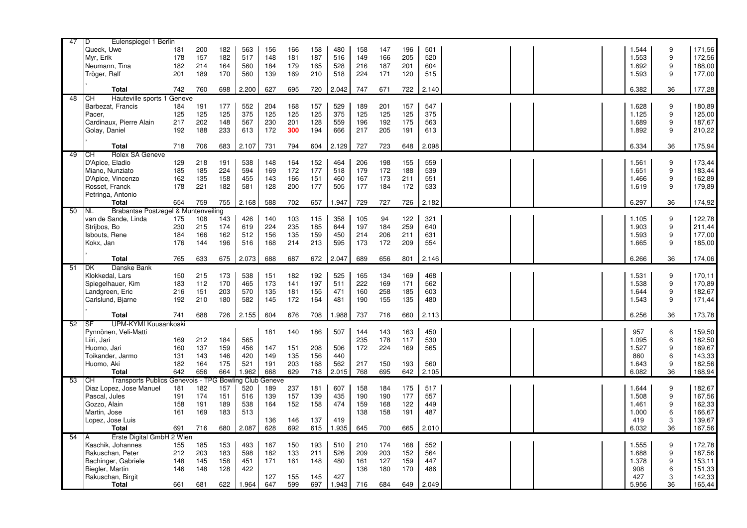| 47 | ID<br>Eulenspiegel 1 Berlin                |     |     |     |                |        |     |     |       |     |     |     |       |  |       |    |        |
|----|--------------------------------------------|-----|-----|-----|----------------|--------|-----|-----|-------|-----|-----|-----|-------|--|-------|----|--------|
|    | Queck, Uwe                                 | 181 | 200 | 182 | 563            | 156    | 166 | 158 | 480   | 158 | 147 | 196 | 501   |  | 1.544 | 9  | 171,56 |
|    | Myr, Erik                                  | 178 | 157 | 182 | 517            | 148    | 181 | 187 | 516   | 149 | 166 | 205 | 520   |  | 1.553 | 9  | 172,56 |
|    | Neumann, Tina                              | 182 | 214 | 164 | 560            | 184    | 179 | 165 | 528   | 216 | 187 | 201 | 604   |  | 1.692 | 9  | 188,00 |
|    | Tröger, Ralf                               | 201 | 189 | 170 | 560            | 139    | 169 | 210 | 518   | 224 | 171 | 120 | 515   |  | 1.593 | 9  | 177,00 |
|    |                                            |     |     |     |                |        |     |     |       |     |     |     |       |  |       |    |        |
|    | Total                                      | 742 | 760 | 698 | 2.200          | 627    | 695 | 720 | 2.042 | 747 | 671 | 722 | 2.140 |  | 6.382 | 36 | 177,28 |
| 48 | Hauteville sports 1 Geneve<br>IСH          |     |     |     |                |        |     |     |       |     |     |     |       |  |       |    |        |
|    | Barbezat, Francis                          | 184 | 191 | 177 | 552            | 204    | 168 | 157 | 529   | 189 | 201 | 157 | 547   |  | 1.628 | 9  | 180,89 |
|    | Pacer,                                     | 125 | 125 | 125 | 375            | 125    | 125 | 125 | 375   | 125 | 125 | 125 | 375   |  | 1.125 | 9  | 125,00 |
|    | Cardinaux, Pierre Alain                    | 217 | 202 | 148 | 567            | 230    | 201 | 128 | 559   | 196 | 192 | 175 | 563   |  | 1.689 | 9  | 187,67 |
|    | Golay, Daniel                              | 192 | 188 | 233 | 613            | 172    | 300 | 194 | 666   | 217 | 205 | 191 | 613   |  | 1.892 | 9  | 210,22 |
|    |                                            |     |     |     |                |        |     |     |       |     |     |     |       |  |       |    |        |
|    | Total                                      | 718 | 706 | 683 | 2.107          | 731    | 794 | 604 | 2.129 | 727 | 723 | 648 | 2.098 |  | 6.334 | 36 | 175,94 |
| 49 | Rolex SA Geneve<br>IСH                     |     |     |     |                |        |     |     |       |     |     |     |       |  |       |    |        |
|    | D'Apice, Eladio                            | 129 | 218 | 191 | 538            | 148    | 164 | 152 | 464   | 206 | 198 | 155 | 559   |  | 1.561 | 9  | 173,44 |
|    | Miano, Nunziato                            | 185 | 185 | 224 | 594            | 169    | 172 | 177 | 518   | 179 | 172 | 188 | 539   |  | 1.651 | 9  | 183,44 |
|    | D'Apice, Vincenzo                          | 162 | 135 | 158 | 455            | 143    | 166 | 151 | 460   | 167 | 173 | 211 | 551   |  | 1.466 | 9  | 162,89 |
|    | Rosset, Franck                             | 178 | 221 | 182 | 581            | 128    | 200 | 177 | 505   | 177 | 184 | 172 | 533   |  | 1.619 | 9  | 179,89 |
|    | Petringa, Antonio                          |     |     |     |                |        |     |     |       |     |     |     |       |  |       |    |        |
|    | Total                                      | 654 | 759 | 755 | 2.168          | 588    | 702 | 657 | 1.947 | 729 | 727 | 726 | 2.182 |  | 6.297 | 36 | 174,92 |
| 50 | Brabantse Postzegel & Muntenvel<br>NL.     |     |     | ing |                |        |     |     |       |     |     |     |       |  |       |    |        |
|    | van de Sande. Linda                        | 175 | 108 | 143 | 426            | 140    | 103 | 115 | 358   | 105 | 94  | 122 | 321   |  | 1.105 | 9  | 122,78 |
|    | Strijbos, Bo                               | 230 | 215 | 174 | 619            | 224    | 235 | 185 | 644   | 197 | 184 | 259 | 640   |  | 1.903 | 9  | 211,44 |
|    | <b>Isbouts, Rene</b>                       | 184 | 166 | 162 | 512            | 156    | 135 | 159 | 450   | 214 | 206 | 211 | 631   |  | 1.593 | 9  | 177,00 |
|    | Kokx, Jan                                  | 176 | 144 | 196 | 516            | 168    | 214 | 213 | 595   | 173 | 172 | 209 | 554   |  | 1.665 | 9  | 185,00 |
|    |                                            |     |     |     |                |        |     |     |       |     |     |     |       |  |       |    |        |
|    | <b>Total</b>                               | 765 | 633 | 675 | 2.073          | 688    | 687 | 672 | 2.047 | 689 | 656 | 801 | 2.146 |  | 6.266 | 36 | 174,06 |
| 51 | Danske Bank<br><b>DK</b>                   |     |     |     |                |        |     |     |       |     |     |     |       |  |       |    |        |
|    | Klokkedal, Lars                            | 150 | 215 | 173 | 538            | 151    | 182 | 192 | 525   | 165 | 134 | 169 | 468   |  | 1.531 | 9  | 170,11 |
|    | Spiegelhauer, Kim                          | 183 | 112 | 170 | 465            | 173    | 141 | 197 | 511   | 222 | 169 | 171 | 562   |  | 1.538 | 9  | 170,89 |
|    | Landgreen, Eric                            | 216 | 151 | 203 | 570            | 135    | 181 | 155 | 471   | 160 | 258 | 185 | 603   |  | 1.644 | 9  | 182,67 |
|    | Carlslund, Bjarne                          | 192 | 210 | 180 | 582            | 145    | 172 | 164 | 481   | 190 | 155 | 135 | 480   |  | 1.543 | 9  | 171,44 |
|    |                                            |     |     |     |                |        |     |     |       |     |     |     |       |  |       |    |        |
|    | Total                                      | 741 | 688 | 726 | 2.155          | 604    | 676 | 708 | 1.988 | 737 | 716 | 660 | 2.113 |  | 6.256 | 36 | 173,78 |
| 52 | <b>UPM-KYMI Kuusankoski</b><br><b>I</b> SF |     |     |     |                |        |     |     |       |     |     |     |       |  |       |    |        |
|    | Pynnönen. Veli-Matti                       |     |     |     |                | 181    | 140 | 186 | 507   | 144 | 143 | 163 | 450   |  | 957   | 6  | 159,50 |
|    | Liiri, Jari                                | 169 | 212 | 184 | 565            |        |     |     |       | 235 | 178 | 117 | 530   |  | 1.095 | 6  | 182,50 |
|    | Huomo, Jari                                | 160 | 137 | 159 | 456            | 147    | 151 | 208 | 506   | 172 | 224 | 169 | 565   |  | 1.527 | 9  | 169,67 |
|    | Toikander, Jarmo                           | 131 | 143 | 146 | 420            | 149    | 135 | 156 | 440   |     |     |     |       |  | 860   | 6  | 143,33 |
|    | Huomo, Aki                                 | 182 | 164 | 175 | 521            | 191    | 203 | 168 | 562   | 217 | 150 | 193 | 560   |  | 1.643 | 9  | 182,56 |
|    | <b>Total</b>                               | 642 | 656 | 664 | 1.962          | 668    | 629 | 718 | 2.015 | 768 | 695 | 642 | 2.105 |  | 6.082 | 36 | 168,94 |
| 53 | Transports Publics Genevois - TP<br>IСH    |     |     |     | G Bowling Club | Geneve |     |     |       |     |     |     |       |  |       |    |        |
|    | Diaz Lopez, Jose Manuel                    | 181 | 182 | 157 | 520            | 189    | 237 | 181 | 607   | 158 | 184 | 175 | 517   |  | 1.644 | 9  | 182,67 |
|    | Pascal, Jules                              | 191 | 174 | 151 | 516            | 139    | 157 | 139 | 435   | 190 | 190 | 177 | 557   |  | 1.508 | 9  | 167,56 |
|    | Gozzo, Alain                               | 158 | 191 | 189 | 538            | 164    | 152 | 158 | 474   | 159 | 168 | 122 | 449   |  | 1.461 | 9  | 162,33 |
|    | Martin, Jose                               | 161 | 169 | 183 | 513            |        |     |     |       | 138 | 158 | 191 | 487   |  | 1.000 | 6  | 166,67 |
|    | Lopez, Jose Luis                           |     |     |     |                | 136    | 146 | 137 | 419   |     |     |     |       |  | 419   | 3  | 139,67 |
|    | <b>Total</b>                               | 691 | 716 | 680 | 2.087          | 628    | 692 | 615 | 1.935 | 645 | 700 | 665 | 2.010 |  | 6.032 | 36 | 167,56 |
| 54 | Erste Digital GmbH 2 Wien                  |     |     |     |                |        |     |     |       |     |     |     |       |  |       |    |        |
|    | Kaschik, Johannes                          | 155 | 185 | 153 | 493            | 167    | 150 | 193 | 510   | 210 | 174 | 168 | 552   |  | 1.555 | 9  | 172,78 |
|    | Rakuschan, Peter                           | 212 | 203 | 183 | 598            | 182    | 133 | 211 | 526   | 209 | 203 | 152 | 564   |  | 1.688 | 9  | 187,56 |
|    | Bachinger, Gabriele                        | 148 | 145 | 158 | 451            | 171    | 161 | 148 | 480   | 161 | 127 | 159 | 447   |  | 1.378 | 9  | 153,11 |
|    | Biegler, Martin                            | 146 | 148 | 128 | 422            |        |     |     |       | 136 | 180 | 170 | 486   |  | 908   | 6  | 151,33 |
|    | Rakuschan, Birgit                          |     |     |     |                | 127    | 155 | 145 | 427   |     |     |     |       |  | 427   | 3  | 142,33 |
|    | <b>Total</b>                               | 661 | 681 | 622 | 1.964          | 647    | 599 | 697 | 1.943 | 716 | 684 | 649 | 2.049 |  | 5.956 | 36 | 165,44 |
|    |                                            |     |     |     |                |        |     |     |       |     |     |     |       |  |       |    |        |